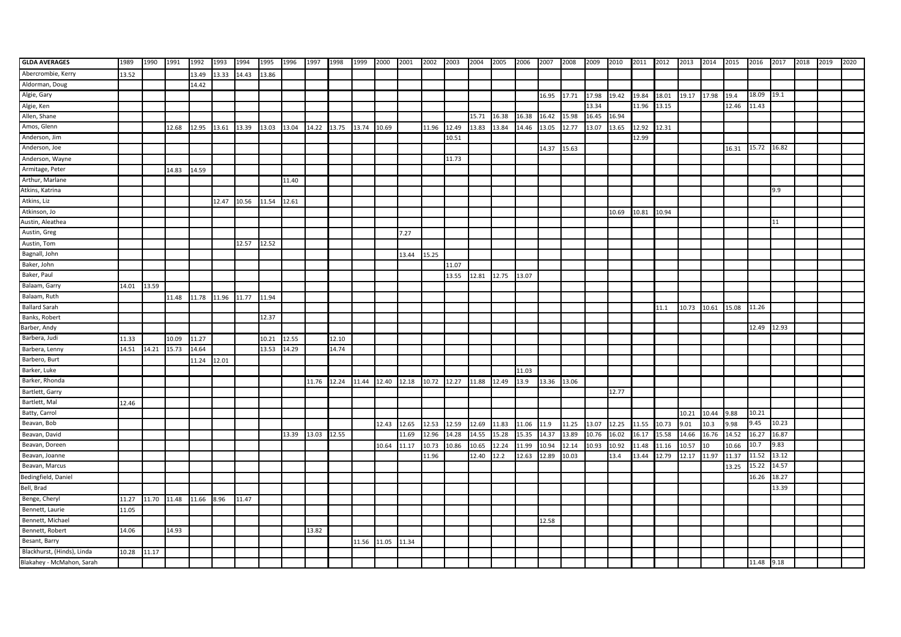| <b>GLDA AVERAGES</b>       | 1989  | 1990  | 1991  | 1992        | 1993  | 1994  | 1995        | 1996  | 1997  | 1998  | 1999  | 2000  | 2001  | 2002  | 2003  | 2004  | 2005  | 2006  | 2007        | 2008  | 2009  | 2010  | 2011  | 2012  | 2013  | 2014  | 2015  | 2016       | 2017  | 2018 | 2019 | 2020 |
|----------------------------|-------|-------|-------|-------------|-------|-------|-------------|-------|-------|-------|-------|-------|-------|-------|-------|-------|-------|-------|-------------|-------|-------|-------|-------|-------|-------|-------|-------|------------|-------|------|------|------|
| Abercrombie, Kerry         | 13.52 |       |       | 13.49       | 13.33 | 14.43 | 13.86       |       |       |       |       |       |       |       |       |       |       |       |             |       |       |       |       |       |       |       |       |            |       |      |      |      |
| Aldorman, Doug             |       |       |       | 14.42       |       |       |             |       |       |       |       |       |       |       |       |       |       |       |             |       |       |       |       |       |       |       |       |            |       |      |      |      |
| Algie, Gary                |       |       |       |             |       |       |             |       |       |       |       |       |       |       |       |       |       |       | 16.95       | 17.71 | 17.98 | 19.42 | 19.84 | 18.01 | 19.17 | 17.98 | 19.4  | 18.09      | 19.1  |      |      |      |
| Algie, Ken                 |       |       |       |             |       |       |             |       |       |       |       |       |       |       |       |       |       |       |             |       | 13.34 |       | 11.96 | 13.15 |       |       | 12.46 | 11.43      |       |      |      |      |
| Allen, Shane               |       |       |       |             |       |       |             |       |       |       |       |       |       |       |       | 15.71 | 16.38 | 16.38 | 16.42       | 15.98 | 16.45 | 16.94 |       |       |       |       |       |            |       |      |      |      |
| Amos, Glenn                |       |       | 12.68 | 12.95       | 13.61 | 13.39 | 13.03       | 13.04 | 14.22 | 13.75 | 13.74 | 10.69 |       | 11.96 | 12.49 | 13.83 | 13.84 | 14.46 | 13.05       | 12.77 | 13.07 | 13.65 | 12.92 | 12.31 |       |       |       |            |       |      |      |      |
| Anderson, Jim              |       |       |       |             |       |       |             |       |       |       |       |       |       |       | 10.51 |       |       |       |             |       |       |       | 12.99 |       |       |       |       |            |       |      |      |      |
| Anderson, Joe              |       |       |       |             |       |       |             |       |       |       |       |       |       |       |       |       |       |       | 14.37       | 15.63 |       |       |       |       |       |       | 16.31 | 15.72      | 16.82 |      |      |      |
| Anderson, Wayne            |       |       |       |             |       |       |             |       |       |       |       |       |       |       | 11.73 |       |       |       |             |       |       |       |       |       |       |       |       |            |       |      |      |      |
| Armitage, Peter            |       |       | 14.83 | 14.59       |       |       |             |       |       |       |       |       |       |       |       |       |       |       |             |       |       |       |       |       |       |       |       |            |       |      |      |      |
| Arthur, Marlane            |       |       |       |             |       |       |             | 11.40 |       |       |       |       |       |       |       |       |       |       |             |       |       |       |       |       |       |       |       |            |       |      |      |      |
| Atkins, Katrina            |       |       |       |             |       |       |             |       |       |       |       |       |       |       |       |       |       |       |             |       |       |       |       |       |       |       |       |            | 9.9   |      |      |      |
| Atkins, Liz                |       |       |       |             | 12.47 | 10.56 | 11.54 12.61 |       |       |       |       |       |       |       |       |       |       |       |             |       |       |       |       |       |       |       |       |            |       |      |      |      |
| Atkinson, Jo               |       |       |       |             |       |       |             |       |       |       |       |       |       |       |       |       |       |       |             |       |       | 10.69 | 10.81 | 10.94 |       |       |       |            |       |      |      |      |
| Austin, Aleathea           |       |       |       |             |       |       |             |       |       |       |       |       |       |       |       |       |       |       |             |       |       |       |       |       |       |       |       |            | 11    |      |      |      |
| Austin, Greg               |       |       |       |             |       |       |             |       |       |       |       |       | 7.27  |       |       |       |       |       |             |       |       |       |       |       |       |       |       |            |       |      |      |      |
| Austin, Tom                |       |       |       |             |       | 12.57 | 12.52       |       |       |       |       |       |       |       |       |       |       |       |             |       |       |       |       |       |       |       |       |            |       |      |      |      |
| Bagnall, John              |       |       |       |             |       |       |             |       |       |       |       |       | 13.44 | 15.25 |       |       |       |       |             |       |       |       |       |       |       |       |       |            |       |      |      |      |
| Baker, John                |       |       |       |             |       |       |             |       |       |       |       |       |       |       | 11.07 |       |       |       |             |       |       |       |       |       |       |       |       |            |       |      |      |      |
| Baker, Paul                |       |       |       |             |       |       |             |       |       |       |       |       |       |       | 13.55 | 12.81 | 12.75 | 13.07 |             |       |       |       |       |       |       |       |       |            |       |      |      |      |
| Balaam, Garry              | 14.01 | 13.59 |       |             |       |       |             |       |       |       |       |       |       |       |       |       |       |       |             |       |       |       |       |       |       |       |       |            |       |      |      |      |
| Balaam, Ruth               |       |       | 11.48 | 11.78 11.96 |       | 11.77 | 11.94       |       |       |       |       |       |       |       |       |       |       |       |             |       |       |       |       |       |       |       |       |            |       |      |      |      |
| <b>Ballard Sarah</b>       |       |       |       |             |       |       |             |       |       |       |       |       |       |       |       |       |       |       |             |       |       |       |       | 11.1  | 10.73 | 10.61 | 15.08 | 11.26      |       |      |      |      |
| Banks, Robert              |       |       |       |             |       |       | 12.37       |       |       |       |       |       |       |       |       |       |       |       |             |       |       |       |       |       |       |       |       |            |       |      |      |      |
| Barber, Andy               |       |       |       |             |       |       |             |       |       |       |       |       |       |       |       |       |       |       |             |       |       |       |       |       |       |       |       | 12.49      | 12.93 |      |      |      |
| Barbera, Judi              | 11.33 |       | 10.09 | 11.27       |       |       | 10.21       | 12.55 |       | 12.10 |       |       |       |       |       |       |       |       |             |       |       |       |       |       |       |       |       |            |       |      |      |      |
| Barbera, Lenny             | 14.51 | 14.21 | 15.73 | 14.64       |       |       | 13.53       | 14.29 |       | 14.74 |       |       |       |       |       |       |       |       |             |       |       |       |       |       |       |       |       |            |       |      |      |      |
| Barbero, Burt              |       |       |       | 11.24       | 12.01 |       |             |       |       |       |       |       |       |       |       |       |       |       |             |       |       |       |       |       |       |       |       |            |       |      |      |      |
| Barker, Luke               |       |       |       |             |       |       |             |       |       |       |       |       |       |       |       |       |       | 11.03 |             |       |       |       |       |       |       |       |       |            |       |      |      |      |
| Barker, Rhonda             |       |       |       |             |       |       |             |       | 11.76 | 12.24 | 11.44 | 12.40 | 12.18 | 10.72 | 12.27 | 11.88 | 12.49 | 13.9  | 13.36 13.06 |       |       |       |       |       |       |       |       |            |       |      |      |      |
| Bartlett, Garry            |       |       |       |             |       |       |             |       |       |       |       |       |       |       |       |       |       |       |             |       |       | 12.77 |       |       |       |       |       |            |       |      |      |      |
| Bartlett, Mal              | 12.46 |       |       |             |       |       |             |       |       |       |       |       |       |       |       |       |       |       |             |       |       |       |       |       |       |       |       |            |       |      |      |      |
| Batty, Carrol              |       |       |       |             |       |       |             |       |       |       |       |       |       |       |       |       |       |       |             |       |       |       |       |       | 10.21 | 10.44 | 9.88  | 10.21      |       |      |      |      |
| Beavan, Bob                |       |       |       |             |       |       |             |       |       |       |       | 12.43 | 12.65 | 12.53 | 12.59 | 12.69 | 11.83 | 11.06 | 11.9        | 11.25 | 13.07 | 12.25 | 11.55 | 10.73 | 9.01  | 10.3  | 9.98  | 9.45       | 10.23 |      |      |      |
| Beavan, David              |       |       |       |             |       |       |             | 13.39 | 13.03 | 12.55 |       |       | 11.69 | 12.96 | 14.28 | 14.55 | 15.28 | 15.35 | 14.37       | 13.89 | 10.76 | 16.02 | 16.17 | 15.58 | 14.66 | 16.76 | 14.52 | 16.27      | 16.87 |      |      |      |
| Beavan, Doreen             |       |       |       |             |       |       |             |       |       |       |       | 10.64 | 11.17 | 10.73 | 10.86 | 10.65 | 12.24 | 11.99 | 10.94       | 12.14 | 10.93 | 10.92 | 11.48 | 11.16 | 10.57 | 10    | 10.66 | 10.7       | 9.83  |      |      |      |
| Beavan, Joanne             |       |       |       |             |       |       |             |       |       |       |       |       |       | 11.96 |       | 12.40 | 12.2  | 12.63 | 12.89       | 10.03 |       | 13.4  | 13.44 | 12.79 | 12.17 | 11.97 | 11.37 | 11.52      | 13.12 |      |      |      |
| Beavan, Marcus             |       |       |       |             |       |       |             |       |       |       |       |       |       |       |       |       |       |       |             |       |       |       |       |       |       |       | 13.25 | 15.22      | 14.57 |      |      |      |
| Bedingfield, Daniel        |       |       |       |             |       |       |             |       |       |       |       |       |       |       |       |       |       |       |             |       |       |       |       |       |       |       |       | 16.26      | 18.27 |      |      |      |
| Bell, Brad                 |       |       |       |             |       |       |             |       |       |       |       |       |       |       |       |       |       |       |             |       |       |       |       |       |       |       |       |            | 13.39 |      |      |      |
| Benge, Cheryl              | 11.27 | 11.70 | 11.48 | 11.66       | 8.96  | 11.47 |             |       |       |       |       |       |       |       |       |       |       |       |             |       |       |       |       |       |       |       |       |            |       |      |      |      |
| Bennett, Laurie            | 11.05 |       |       |             |       |       |             |       |       |       |       |       |       |       |       |       |       |       |             |       |       |       |       |       |       |       |       |            |       |      |      |      |
| Bennett, Michael           |       |       |       |             |       |       |             |       |       |       |       |       |       |       |       |       |       |       | 12.58       |       |       |       |       |       |       |       |       |            |       |      |      |      |
| Bennett, Robert            | 14.06 |       | 14.93 |             |       |       |             |       | 13.82 |       |       |       |       |       |       |       |       |       |             |       |       |       |       |       |       |       |       |            |       |      |      |      |
| Besant, Barry              |       |       |       |             |       |       |             |       |       |       | 11.56 | 11.05 | 11.34 |       |       |       |       |       |             |       |       |       |       |       |       |       |       |            |       |      |      |      |
| Blackhurst, (Hinds), Linda | 10.28 | 11.17 |       |             |       |       |             |       |       |       |       |       |       |       |       |       |       |       |             |       |       |       |       |       |       |       |       |            |       |      |      |      |
| Blakahey - McMahon, Sarah  |       |       |       |             |       |       |             |       |       |       |       |       |       |       |       |       |       |       |             |       |       |       |       |       |       |       |       | 11.48 9.18 |       |      |      |      |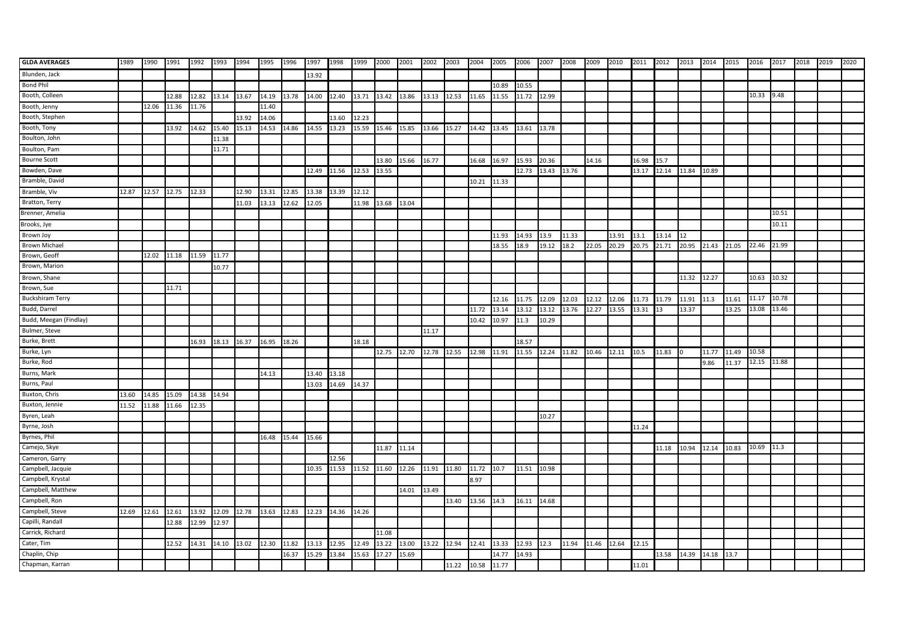| <b>GLDA AVERAGES</b>    | 1989  | 1990        | 1991  | 1992        | 1993  | 1994              | 1995        | 1996  | 1997        | 1998  | 1999  | 2000  | 2001  | 2002  | 2003  | 2004  | 2005  | 2006        | 2007        | 2008  | 2009  | 2010  | 2011  | 2012  | 2013        | 2014               | 2015  | 2016  | 2017  | 2018 | 2019 | 2020 |
|-------------------------|-------|-------------|-------|-------------|-------|-------------------|-------------|-------|-------------|-------|-------|-------|-------|-------|-------|-------|-------|-------------|-------------|-------|-------|-------|-------|-------|-------------|--------------------|-------|-------|-------|------|------|------|
| Blunden, Jack           |       |             |       |             |       |                   |             |       | 13.92       |       |       |       |       |       |       |       |       |             |             |       |       |       |       |       |             |                    |       |       |       |      |      |      |
| <b>Bond Phil</b>        |       |             |       |             |       |                   |             |       |             |       |       |       |       |       |       |       | 10.89 | 10.55       |             |       |       |       |       |       |             |                    |       |       |       |      |      |      |
| Booth, Colleen          |       |             | 12.88 | 12.82       | 13.14 | 13.67             | 14.19       | 13.78 | 14.00       | 12.40 | 13.71 | 13.42 | 13.86 | 13.13 | 12.53 | 11.65 | 11.55 | 11.72       | 12.99       |       |       |       |       |       |             |                    |       | 10.33 | 9.48  |      |      |      |
| Booth, Jenny            |       | 12.06       | 11.36 | 11.76       |       |                   | 11.40       |       |             |       |       |       |       |       |       |       |       |             |             |       |       |       |       |       |             |                    |       |       |       |      |      |      |
| Booth, Stephen          |       |             |       |             |       | 13.92             | 14.06       |       |             | 13.60 | 12.23 |       |       |       |       |       |       |             |             |       |       |       |       |       |             |                    |       |       |       |      |      |      |
| Booth, Tony             |       |             | 13.92 | 14.62       | 15.40 | 15.13             | 14.53       | 14.86 | 14.55       | 13.23 | 15.59 | 15.46 | 15.85 | 13.66 | 15.27 | 14.42 | 13.45 | 13.61       | 13.78       |       |       |       |       |       |             |                    |       |       |       |      |      |      |
| Boulton, John           |       |             |       |             | 11.38 |                   |             |       |             |       |       |       |       |       |       |       |       |             |             |       |       |       |       |       |             |                    |       |       |       |      |      |      |
| Boulton, Pam            |       |             |       |             | 11.71 |                   |             |       |             |       |       |       |       |       |       |       |       |             |             |       |       |       |       |       |             |                    |       |       |       |      |      |      |
| <b>Bourne Scott</b>     |       |             |       |             |       |                   |             |       |             |       |       | 13.80 | 15.66 | 16.77 |       | 16.68 | 16.97 | 15.93       | 20.36       |       | 14.16 |       | 16.98 | 15.7  |             |                    |       |       |       |      |      |      |
| Bowden, Dave            |       |             |       |             |       |                   |             |       | 12.49       | 11.56 | 12.53 | 13.55 |       |       |       |       |       | 12.73       | 13.43 13.76 |       |       |       | 13.17 | 12.14 | 11.84       | 10.89              |       |       |       |      |      |      |
| Bramble, David          |       |             |       |             |       |                   |             |       |             |       |       |       |       |       |       | 10.21 | 11.33 |             |             |       |       |       |       |       |             |                    |       |       |       |      |      |      |
| Bramble, Viv            | 12.87 | 12.57 12.75 |       | 12.33       |       | 12.90             | 13.31       | 12.85 | 13.38       | 13.39 | 12.12 |       |       |       |       |       |       |             |             |       |       |       |       |       |             |                    |       |       |       |      |      |      |
| Bratton, Terry          |       |             |       |             |       | 11.03             | 13.13       | 12.62 | 12.05       |       | 11.98 | 13.68 | 13.04 |       |       |       |       |             |             |       |       |       |       |       |             |                    |       |       |       |      |      |      |
| Brenner, Amelia         |       |             |       |             |       |                   |             |       |             |       |       |       |       |       |       |       |       |             |             |       |       |       |       |       |             |                    |       |       | 10.51 |      |      |      |
| Brooks, Jye             |       |             |       |             |       |                   |             |       |             |       |       |       |       |       |       |       |       |             |             |       |       |       |       |       |             |                    |       |       | 10.11 |      |      |      |
| Brown Joy               |       |             |       |             |       |                   |             |       |             |       |       |       |       |       |       |       | 11.93 | 14.93       | 13.9        | 11.33 |       | 13.91 | 13.1  | 13.14 |             |                    |       |       |       |      |      |      |
| <b>Brown Michael</b>    |       |             |       |             |       |                   |             |       |             |       |       |       |       |       |       |       | 18.55 | 18.9        | 19.12       | 18.2  | 22.05 | 20.29 | 20.75 | 21.71 | 20.95       | 21.43              | 21.05 | 22.46 | 21.99 |      |      |      |
| Brown, Geoff            |       | 12.02       | 11.18 | 11.59       | 11.77 |                   |             |       |             |       |       |       |       |       |       |       |       |             |             |       |       |       |       |       |             |                    |       |       |       |      |      |      |
| Brown, Marion           |       |             |       |             | 10.77 |                   |             |       |             |       |       |       |       |       |       |       |       |             |             |       |       |       |       |       |             |                    |       |       |       |      |      |      |
| Brown, Shane            |       |             |       |             |       |                   |             |       |             |       |       |       |       |       |       |       |       |             |             |       |       |       |       |       | 11.32 12.27 |                    |       | 10.63 | 10.32 |      |      |      |
| Brown, Sue              |       |             | 11.71 |             |       |                   |             |       |             |       |       |       |       |       |       |       |       |             |             |       |       |       |       |       |             |                    |       |       |       |      |      |      |
| <b>Buckshiram Terry</b> |       |             |       |             |       |                   |             |       |             |       |       |       |       |       |       |       | 12.16 | 11.75       | 12.09       | 12.03 | 12.12 | 12.06 | 11.73 | 11.79 | 11.91       | 11.3               | 11.61 | 11.17 | 10.78 |      |      |      |
| Budd, Darrel            |       |             |       |             |       |                   |             |       |             |       |       |       |       |       |       | 11.72 | 13.14 | 13.12       | 13.12       | 13.76 | 12.27 | 13.55 | 13.31 | 13    | 13.37       |                    | 13.25 | 13.08 | 13.46 |      |      |      |
| Budd, Meegan (Findlay)  |       |             |       |             |       |                   |             |       |             |       |       |       |       |       |       | 10.42 | 10.97 | 11.3        | 10.29       |       |       |       |       |       |             |                    |       |       |       |      |      |      |
| Bulmer, Steve           |       |             |       |             |       |                   |             |       |             |       |       |       |       | 11.17 |       |       |       |             |             |       |       |       |       |       |             |                    |       |       |       |      |      |      |
| Burke, Brett            |       |             |       | 16.93       | 18.13 | 16.37             | 16.95       | 18.26 |             |       | 18.18 |       |       |       |       |       |       | 18.57       |             |       |       |       |       |       |             |                    |       |       |       |      |      |      |
| Burke, Lyn              |       |             |       |             |       |                   |             |       |             |       |       | 12.75 | 12.70 | 12.78 | 12.55 | 12.98 | 11.91 | 11.55       | 12.24       | 11.82 | 10.46 | 12.11 | 10.5  | 11.83 |             | 11.77              | 11.49 | 10.58 |       |      |      |      |
| Burke, Rod              |       |             |       |             |       |                   |             |       |             |       |       |       |       |       |       |       |       |             |             |       |       |       |       |       |             | 9.86               | 11.37 | 12.15 | 11.88 |      |      |      |
| Burns, Mark             |       |             |       |             |       |                   | 14.13       |       | 13.40       | 13.18 |       |       |       |       |       |       |       |             |             |       |       |       |       |       |             |                    |       |       |       |      |      |      |
| Burns, Paul             |       |             |       |             |       |                   |             |       | 13.03       | 14.69 | 14.37 |       |       |       |       |       |       |             |             |       |       |       |       |       |             |                    |       |       |       |      |      |      |
| Buxton, Chris           | 13.60 | 14.85       | 15.09 | 14.38 14.94 |       |                   |             |       |             |       |       |       |       |       |       |       |       |             |             |       |       |       |       |       |             |                    |       |       |       |      |      |      |
| Buxton, Jennie          | 11.52 | 11.88       | 11.66 | 12.35       |       |                   |             |       |             |       |       |       |       |       |       |       |       |             |             |       |       |       |       |       |             |                    |       |       |       |      |      |      |
| Byren, Leah             |       |             |       |             |       |                   |             |       |             |       |       |       |       |       |       |       |       |             | 10.27       |       |       |       |       |       |             |                    |       |       |       |      |      |      |
| Byrne, Josh             |       |             |       |             |       |                   |             |       |             |       |       |       |       |       |       |       |       |             |             |       |       |       | 11.24 |       |             |                    |       |       |       |      |      |      |
| Byrnes, Phil            |       |             |       |             |       |                   | 16.48       | 15.44 | 15.66       |       |       |       |       |       |       |       |       |             |             |       |       |       |       |       |             |                    |       |       |       |      |      |      |
| Camejo, Skye            |       |             |       |             |       |                   |             |       |             |       |       | 11.87 | 11.14 |       |       |       |       |             |             |       |       |       |       | 11.18 | 10.94       | 12.14              | 10.83 | 10.69 | 11.3  |      |      |      |
| Cameron, Garry          |       |             |       |             |       |                   |             |       |             | 12.56 |       |       |       |       |       |       |       |             |             |       |       |       |       |       |             |                    |       |       |       |      |      |      |
| Campbell, Jacquie       |       |             |       |             |       |                   |             |       | 10.35       | 11.53 | 11.52 | 11.60 | 12.26 | 11.91 | 11.80 | 11.72 | 10.7  | 11.51       | 10.98       |       |       |       |       |       |             |                    |       |       |       |      |      |      |
| Campbell, Krystal       |       |             |       |             |       |                   |             |       |             |       |       |       |       |       |       | 8.97  |       |             |             |       |       |       |       |       |             |                    |       |       |       |      |      |      |
| Campbell, Matthew       |       |             |       |             |       |                   |             |       |             |       |       |       | 14.01 | 13.49 |       |       |       |             |             |       |       |       |       |       |             |                    |       |       |       |      |      |      |
| Campbell, Ron           |       |             |       |             |       |                   |             |       |             |       |       |       |       |       | 13.40 | 13.56 | 14.3  | 16.11 14.68 |             |       |       |       |       |       |             |                    |       |       |       |      |      |      |
| Campbell, Steve         | 12.69 | 12.61 12.61 |       |             |       | 13.92 12.09 12.78 | 13.63 12.83 |       | 12.23 14.36 |       | 14.26 |       |       |       |       |       |       |             |             |       |       |       |       |       |             |                    |       |       |       |      |      |      |
| Capilli, Randall        |       |             | 12.88 | 12.99       | 12.97 |                   |             |       |             |       |       |       |       |       |       |       |       |             |             |       |       |       |       |       |             |                    |       |       |       |      |      |      |
| Carrick, Richard        |       |             |       |             |       |                   |             |       |             |       |       | 11.08 |       |       |       |       |       |             |             |       |       |       |       |       |             |                    |       |       |       |      |      |      |
| Cater, Tim              |       |             | 12.52 | 14.31       | 14.10 | 13.02             | 12.30       | 11.82 | 13.13       | 12.95 | 12.49 | 13.22 | 13.00 | 13.22 | 12.94 | 12.41 | 13.33 | 12.93       | 12.3        | 11.94 | 11.46 | 12.64 | 12.15 |       |             |                    |       |       |       |      |      |      |
| Chaplin, Chip           |       |             |       |             |       |                   |             | 16.37 | 15.29       | 13.84 | 15.63 | 17.27 | 15.69 |       |       |       | 14.77 | 14.93       |             |       |       |       |       | 13.58 |             | 14.39  14.18  13.7 |       |       |       |      |      |      |
| Chapman, Karran         |       |             |       |             |       |                   |             |       |             |       |       |       |       |       | 11.22 | 10.58 | 11.77 |             |             |       |       |       | 11.01 |       |             |                    |       |       |       |      |      |      |
|                         |       |             |       |             |       |                   |             |       |             |       |       |       |       |       |       |       |       |             |             |       |       |       |       |       |             |                    |       |       |       |      |      |      |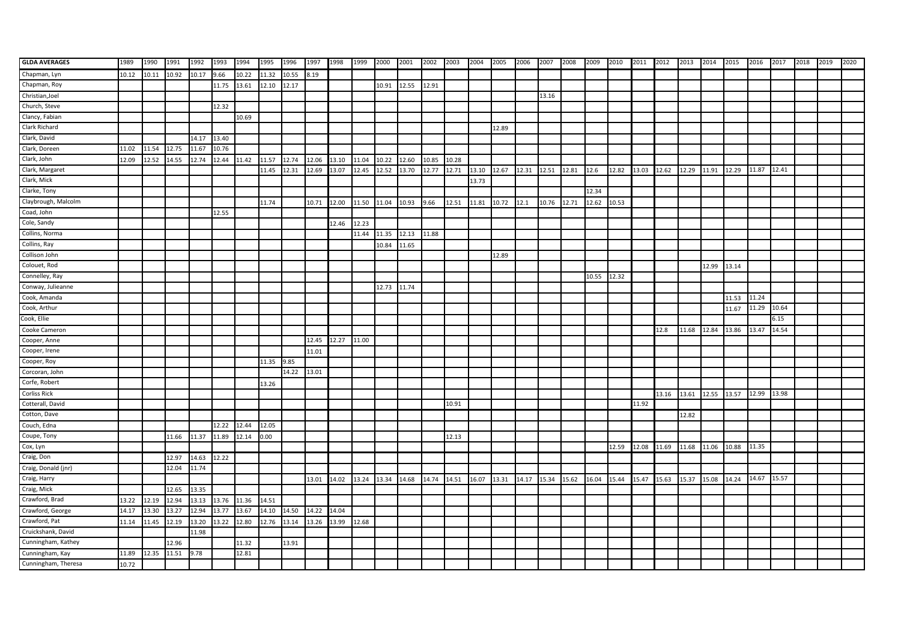| <b>GLDA AVERAGES</b> | 1989  | 1990  | 1991  | 1992  | 1993  | 1994  | 1995  | 1996  | 1997  | 1998  | 1999  | 2000  | 2001  | 2002  | 2003  | 2004  | 2005  | 2006 | 2007              | 2008  | 2009  | 2010  | 2011 2012 |       | 2013  | 2014              | 2015  | 2016  | 2017  | 2018 | 2019 | 2020 |
|----------------------|-------|-------|-------|-------|-------|-------|-------|-------|-------|-------|-------|-------|-------|-------|-------|-------|-------|------|-------------------|-------|-------|-------|-----------|-------|-------|-------------------|-------|-------|-------|------|------|------|
| Chapman, Lyn         | 10.12 | 10.11 | 10.92 | 10.17 | 9.66  | 10.22 | 11.32 | 10.55 | 8.19  |       |       |       |       |       |       |       |       |      |                   |       |       |       |           |       |       |                   |       |       |       |      |      |      |
| Chapman, Roy         |       |       |       |       | 11.75 | 13.61 | 12.10 | 12.17 |       |       |       | 10.91 | 12.55 | 12.91 |       |       |       |      |                   |       |       |       |           |       |       |                   |       |       |       |      |      |      |
| Christian, Joel      |       |       |       |       |       |       |       |       |       |       |       |       |       |       |       |       |       |      | 13.16             |       |       |       |           |       |       |                   |       |       |       |      |      |      |
| Church, Steve        |       |       |       |       | 12.32 |       |       |       |       |       |       |       |       |       |       |       |       |      |                   |       |       |       |           |       |       |                   |       |       |       |      |      |      |
| Clancy, Fabian       |       |       |       |       |       | 10.69 |       |       |       |       |       |       |       |       |       |       |       |      |                   |       |       |       |           |       |       |                   |       |       |       |      |      |      |
| Clark Richard        |       |       |       |       |       |       |       |       |       |       |       |       |       |       |       |       | 12.89 |      |                   |       |       |       |           |       |       |                   |       |       |       |      |      |      |
| Clark, David         |       |       |       | 14.17 | 13.40 |       |       |       |       |       |       |       |       |       |       |       |       |      |                   |       |       |       |           |       |       |                   |       |       |       |      |      |      |
| Clark, Doreen        | 11.02 | 11.54 | 12.75 | 11.67 | 10.76 |       |       |       |       |       |       |       |       |       |       |       |       |      |                   |       |       |       |           |       |       |                   |       |       |       |      |      |      |
| Clark, John          | 12.09 | 12.52 | 14.55 | 12.74 | 12.44 | 11.42 | 11.57 | 12.74 | 12.06 | 13.10 | 11.04 | 10.22 | 12.60 | 10.85 | 10.28 |       |       |      |                   |       |       |       |           |       |       |                   |       |       |       |      |      |      |
| Clark, Margaret      |       |       |       |       |       |       | 11.45 | 12.31 | 12.69 | 13.07 | 12.45 | 12.52 | 13.70 | 12.77 | 12.71 | 13.10 | 12.67 |      | 12.31 12.51 12.81 |       | 12.6  | 12.82 | 13.03     | 12.62 | 12.29 | 11.91             | 12.29 | 11.87 | 12.41 |      |      |      |
| Clark, Mick          |       |       |       |       |       |       |       |       |       |       |       |       |       |       |       | 13.73 |       |      |                   |       |       |       |           |       |       |                   |       |       |       |      |      |      |
| Clarke, Tony         |       |       |       |       |       |       |       |       |       |       |       |       |       |       |       |       |       |      |                   |       | 12.34 |       |           |       |       |                   |       |       |       |      |      |      |
| Claybrough, Malcolm  |       |       |       |       |       |       | 11.74 |       | 10.71 | 12.00 | 11.50 | 11.04 | 10.93 | 9.66  | 12.51 | 11.81 | 10.72 | 12.1 | 10.76             | 12.71 | 12.62 | 10.53 |           |       |       |                   |       |       |       |      |      |      |
| Coad, John           |       |       |       |       | 12.55 |       |       |       |       |       |       |       |       |       |       |       |       |      |                   |       |       |       |           |       |       |                   |       |       |       |      |      |      |
| Cole, Sandy          |       |       |       |       |       |       |       |       |       | 12.46 | 12.23 |       |       |       |       |       |       |      |                   |       |       |       |           |       |       |                   |       |       |       |      |      |      |
| Collins, Norma       |       |       |       |       |       |       |       |       |       |       | 11.44 | 11.35 | 12.13 | 11.88 |       |       |       |      |                   |       |       |       |           |       |       |                   |       |       |       |      |      |      |
| Collins, Ray         |       |       |       |       |       |       |       |       |       |       |       | 10.84 | 11.65 |       |       |       |       |      |                   |       |       |       |           |       |       |                   |       |       |       |      |      |      |
| Collison John        |       |       |       |       |       |       |       |       |       |       |       |       |       |       |       |       | 12.89 |      |                   |       |       |       |           |       |       |                   |       |       |       |      |      |      |
| Colouet, Rod         |       |       |       |       |       |       |       |       |       |       |       |       |       |       |       |       |       |      |                   |       |       |       |           |       |       | 12.99             | 13.14 |       |       |      |      |      |
| Connelley, Ray       |       |       |       |       |       |       |       |       |       |       |       |       |       |       |       |       |       |      |                   |       | 10.55 | 12.32 |           |       |       |                   |       |       |       |      |      |      |
| Conway, Julieanne    |       |       |       |       |       |       |       |       |       |       |       | 12.73 | 11.74 |       |       |       |       |      |                   |       |       |       |           |       |       |                   |       |       |       |      |      |      |
| Cook, Amanda         |       |       |       |       |       |       |       |       |       |       |       |       |       |       |       |       |       |      |                   |       |       |       |           |       |       |                   | 11.53 | 11.24 |       |      |      |      |
| Cook, Arthur         |       |       |       |       |       |       |       |       |       |       |       |       |       |       |       |       |       |      |                   |       |       |       |           |       |       |                   | 11.67 | 11.29 | 10.64 |      |      |      |
| Cook, Ellie          |       |       |       |       |       |       |       |       |       |       |       |       |       |       |       |       |       |      |                   |       |       |       |           |       |       |                   |       |       | 5.15  |      |      |      |
| Cooke Cameron        |       |       |       |       |       |       |       |       |       |       |       |       |       |       |       |       |       |      |                   |       |       |       |           | 12.8  | 11.68 | 12.84             | 13.86 | 13.47 | 14.54 |      |      |      |
| Cooper, Anne         |       |       |       |       |       |       |       |       | 12.45 | 12.27 | 11.00 |       |       |       |       |       |       |      |                   |       |       |       |           |       |       |                   |       |       |       |      |      |      |
| Cooper, Irene        |       |       |       |       |       |       |       |       | 11.01 |       |       |       |       |       |       |       |       |      |                   |       |       |       |           |       |       |                   |       |       |       |      |      |      |
| Cooper, Roy          |       |       |       |       |       |       | 11.35 | 9.85  |       |       |       |       |       |       |       |       |       |      |                   |       |       |       |           |       |       |                   |       |       |       |      |      |      |
| Corcoran, John       |       |       |       |       |       |       |       | 14.22 | 13.01 |       |       |       |       |       |       |       |       |      |                   |       |       |       |           |       |       |                   |       |       |       |      |      |      |
| Corfe, Robert        |       |       |       |       |       |       | 13.26 |       |       |       |       |       |       |       |       |       |       |      |                   |       |       |       |           |       |       |                   |       |       |       |      |      |      |
| <b>Corliss Rick</b>  |       |       |       |       |       |       |       |       |       |       |       |       |       |       |       |       |       |      |                   |       |       |       |           | 13.16 | 13.61 | 12.55 13.57 12.99 |       |       | 13.98 |      |      |      |
| Cotterall, David     |       |       |       |       |       |       |       |       |       |       |       |       |       |       | 10.91 |       |       |      |                   |       |       |       | 11.92     |       |       |                   |       |       |       |      |      |      |
| Cotton, Dave         |       |       |       |       |       |       |       |       |       |       |       |       |       |       |       |       |       |      |                   |       |       |       |           |       | 12.82 |                   |       |       |       |      |      |      |
| Couch, Edna          |       |       |       |       | 12.22 | 12.44 | 12.05 |       |       |       |       |       |       |       |       |       |       |      |                   |       |       |       |           |       |       |                   |       |       |       |      |      |      |
| Coupe, Tony          |       |       | 11.66 | 11.37 | 11.89 | 12.14 | 0.00  |       |       |       |       |       |       |       | 12.13 |       |       |      |                   |       |       |       |           |       |       |                   |       |       |       |      |      |      |
| Cox, Lyn             |       |       |       |       |       |       |       |       |       |       |       |       |       |       |       |       |       |      |                   |       |       | 12.59 | 12.08     | 11.69 | 11.68 | 11.06             | 10.88 | 11.35 |       |      |      |      |
| Craig, Don           |       |       | 12.97 | 14.63 | 12.22 |       |       |       |       |       |       |       |       |       |       |       |       |      |                   |       |       |       |           |       |       |                   |       |       |       |      |      |      |
| Craig, Donald (jnr)  |       |       | 12.04 | 11.74 |       |       |       |       |       |       |       |       |       |       |       |       |       |      |                   |       |       |       |           |       |       |                   |       |       |       |      |      |      |
| Craig, Harry         |       |       |       |       |       |       |       |       | 13.01 | 14.02 | 13.24 | 13.34 | 14.68 | 14.74 | 14.51 | 16.07 | 13.31 |      | 14.17 15.34 15.62 |       | 16.04 | 15.44 | 15.47     | 15.63 | 15.37 | 15.08             | 14.24 | 14.67 | 15.57 |      |      |      |
| Craig, Mick          |       |       | 12.65 | 13.35 |       |       |       |       |       |       |       |       |       |       |       |       |       |      |                   |       |       |       |           |       |       |                   |       |       |       |      |      |      |
| Crawford, Brad       | 13.22 | 12.19 | 12.94 | 13.13 | 13.76 | 11.36 | 14.51 |       |       |       |       |       |       |       |       |       |       |      |                   |       |       |       |           |       |       |                   |       |       |       |      |      |      |
| Crawford, George     | 14.17 | 13.30 | 13.27 | 12.94 | 13.77 | 13.67 | 14.10 | 14.50 | 14.22 | 14.04 |       |       |       |       |       |       |       |      |                   |       |       |       |           |       |       |                   |       |       |       |      |      |      |
| Crawford, Pat        | 11.14 | 11.45 | 12.19 | 13.20 | 13.22 | 12.80 | 12.76 | 13.14 | 13.26 | 13.99 | 12.68 |       |       |       |       |       |       |      |                   |       |       |       |           |       |       |                   |       |       |       |      |      |      |
| Cruickshank, David   |       |       |       | 11.98 |       |       |       |       |       |       |       |       |       |       |       |       |       |      |                   |       |       |       |           |       |       |                   |       |       |       |      |      |      |
| Cunningham, Kathey   |       |       | 12.96 |       |       | 11.32 |       | 13.91 |       |       |       |       |       |       |       |       |       |      |                   |       |       |       |           |       |       |                   |       |       |       |      |      |      |
| Cunningham, Kay      | 11.89 | 12.35 | 11.51 | 9.78  |       | 12.81 |       |       |       |       |       |       |       |       |       |       |       |      |                   |       |       |       |           |       |       |                   |       |       |       |      |      |      |
| Cunningham, Theresa  | 10.72 |       |       |       |       |       |       |       |       |       |       |       |       |       |       |       |       |      |                   |       |       |       |           |       |       |                   |       |       |       |      |      |      |
|                      |       |       |       |       |       |       |       |       |       |       |       |       |       |       |       |       |       |      |                   |       |       |       |           |       |       |                   |       |       |       |      |      |      |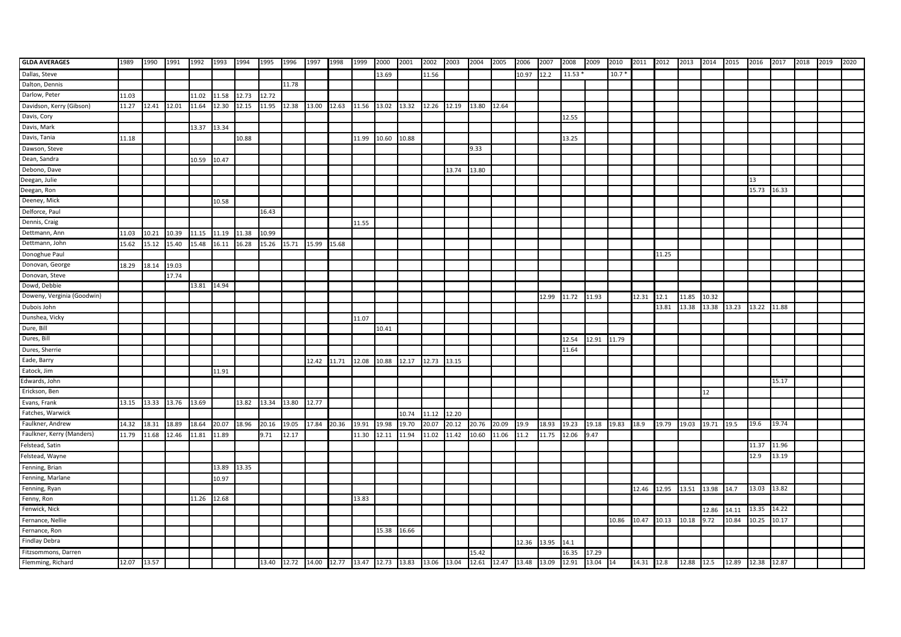| <b>GLDA AVERAGES</b>       | 1989        | 1990        | 1991  | 1992        | 1993  | 1994  | 1995  | 1996  | 1997  | 1998        | 1999  | 2000  | 2001  | 2002  | 2003  | 2004  | 2005  | 2006  | 2007        | 2008                                                                                         | 2009  | 2010    | 2011 2012  |       | 2013       | 2014             | 2015              | 2016  | 2017  | 2018 | 2019 | 2020 |
|----------------------------|-------------|-------------|-------|-------------|-------|-------|-------|-------|-------|-------------|-------|-------|-------|-------|-------|-------|-------|-------|-------------|----------------------------------------------------------------------------------------------|-------|---------|------------|-------|------------|------------------|-------------------|-------|-------|------|------|------|
| Dallas, Steve              |             |             |       |             |       |       |       |       |       |             |       | 13.69 |       | 11.56 |       |       |       | 10.97 | 12.2        | 11.53                                                                                        |       | $10.7*$ |            |       |            |                  |                   |       |       |      |      |      |
| Dalton, Dennis             |             |             |       |             |       |       |       | 11.78 |       |             |       |       |       |       |       |       |       |       |             |                                                                                              |       |         |            |       |            |                  |                   |       |       |      |      |      |
| Darlow, Peter              | 11.03       |             |       | 11.02       | 11.58 | 12.73 | 12.72 |       |       |             |       |       |       |       |       |       |       |       |             |                                                                                              |       |         |            |       |            |                  |                   |       |       |      |      |      |
| Davidson, Kerry (Gibson)   | 11.27       | 12.41       | 12.01 | 11.64       | 12.30 | 12.15 | 11.95 | 12.38 | 13.00 | 12.63 11.56 |       | 13.02 | 13.32 | 12.26 | 12.19 | 13.80 | 12.64 |       |             |                                                                                              |       |         |            |       |            |                  |                   |       |       |      |      |      |
| Davis, Cory                |             |             |       |             |       |       |       |       |       |             |       |       |       |       |       |       |       |       |             | 12.55                                                                                        |       |         |            |       |            |                  |                   |       |       |      |      |      |
| Davis, Mark                |             |             |       | 13.37       | 13.34 |       |       |       |       |             |       |       |       |       |       |       |       |       |             |                                                                                              |       |         |            |       |            |                  |                   |       |       |      |      |      |
| Davis, Tania               | 11.18       |             |       |             |       | 10.88 |       |       |       |             | 11.99 | 10.60 | 10.88 |       |       |       |       |       |             | 13.25                                                                                        |       |         |            |       |            |                  |                   |       |       |      |      |      |
| Dawson, Steve              |             |             |       |             |       |       |       |       |       |             |       |       |       |       |       | 9.33  |       |       |             |                                                                                              |       |         |            |       |            |                  |                   |       |       |      |      |      |
| Dean, Sandra               |             |             |       | 10.59       | 10.47 |       |       |       |       |             |       |       |       |       |       |       |       |       |             |                                                                                              |       |         |            |       |            |                  |                   |       |       |      |      |      |
| Debono, Dave               |             |             |       |             |       |       |       |       |       |             |       |       |       |       | 13.74 | 13.80 |       |       |             |                                                                                              |       |         |            |       |            |                  |                   |       |       |      |      |      |
| Deegan, Julie              |             |             |       |             |       |       |       |       |       |             |       |       |       |       |       |       |       |       |             |                                                                                              |       |         |            |       |            |                  |                   | 13    |       |      |      |      |
| Deegan, Ron                |             |             |       |             |       |       |       |       |       |             |       |       |       |       |       |       |       |       |             |                                                                                              |       |         |            |       |            |                  |                   | 15.73 | 16.33 |      |      |      |
| Deeney, Mick               |             |             |       |             | 10.58 |       |       |       |       |             |       |       |       |       |       |       |       |       |             |                                                                                              |       |         |            |       |            |                  |                   |       |       |      |      |      |
| Delforce, Paul             |             |             |       |             |       |       | 16.43 |       |       |             |       |       |       |       |       |       |       |       |             |                                                                                              |       |         |            |       |            |                  |                   |       |       |      |      |      |
| Dennis, Craig              |             |             |       |             |       |       |       |       |       |             | 11.55 |       |       |       |       |       |       |       |             |                                                                                              |       |         |            |       |            |                  |                   |       |       |      |      |      |
| Dettmann, Ann              | 11.03       | 10.21       | 10.39 | 11.15       | 11.19 | 11.38 | 10.99 |       |       |             |       |       |       |       |       |       |       |       |             |                                                                                              |       |         |            |       |            |                  |                   |       |       |      |      |      |
| Dettmann, John             | 15.62       | 15.12       | 15.40 | 15.48       | 16.11 | 16.28 | 15.26 | 15.71 | 15.99 | 15.68       |       |       |       |       |       |       |       |       |             |                                                                                              |       |         |            |       |            |                  |                   |       |       |      |      |      |
| Donoghue Paul              |             |             |       |             |       |       |       |       |       |             |       |       |       |       |       |       |       |       |             |                                                                                              |       |         |            | 11.25 |            |                  |                   |       |       |      |      |      |
| Donovan, George            | 18.29       | 18.14       | 19.03 |             |       |       |       |       |       |             |       |       |       |       |       |       |       |       |             |                                                                                              |       |         |            |       |            |                  |                   |       |       |      |      |      |
| Donovan, Steve             |             |             | 17.74 |             |       |       |       |       |       |             |       |       |       |       |       |       |       |       |             |                                                                                              |       |         |            |       |            |                  |                   |       |       |      |      |      |
| Dowd, Debbie               |             |             |       | 13.81 14.94 |       |       |       |       |       |             |       |       |       |       |       |       |       |       |             |                                                                                              |       |         |            |       |            |                  |                   |       |       |      |      |      |
| Doweny, Verginia (Goodwin) |             |             |       |             |       |       |       |       |       |             |       |       |       |       |       |       |       |       | 12.99       | 11.72                                                                                        | 11.93 |         | 12.31      | 12.1  | 11.85      | 10.32            |                   |       |       |      |      |      |
| Dubois John                |             |             |       |             |       |       |       |       |       |             |       |       |       |       |       |       |       |       |             |                                                                                              |       |         |            | 13.81 | 13.38      | 13.38 13.23      |                   | 13.22 | 11.88 |      |      |      |
| Dunshea, Vicky             |             |             |       |             |       |       |       |       |       |             | 11.07 |       |       |       |       |       |       |       |             |                                                                                              |       |         |            |       |            |                  |                   |       |       |      |      |      |
| Dure, Bill                 |             |             |       |             |       |       |       |       |       |             |       | 10.41 |       |       |       |       |       |       |             |                                                                                              |       |         |            |       |            |                  |                   |       |       |      |      |      |
| Dures, Bill                |             |             |       |             |       |       |       |       |       |             |       |       |       |       |       |       |       |       |             | 12.54                                                                                        | 12.91 | 11.79   |            |       |            |                  |                   |       |       |      |      |      |
| Dures, Sherrie             |             |             |       |             |       |       |       |       |       |             |       |       |       |       |       |       |       |       |             | 11.64                                                                                        |       |         |            |       |            |                  |                   |       |       |      |      |      |
| Eade, Barry                |             |             |       |             |       |       |       |       | 12.42 | 11.71       | 12.08 | 10.88 | 12.17 | 12.73 | 13.15 |       |       |       |             |                                                                                              |       |         |            |       |            |                  |                   |       |       |      |      |      |
| Eatock, Jim                |             |             |       |             | 11.91 |       |       |       |       |             |       |       |       |       |       |       |       |       |             |                                                                                              |       |         |            |       |            |                  |                   |       |       |      |      |      |
| Edwards, John              |             |             |       |             |       |       |       |       |       |             |       |       |       |       |       |       |       |       |             |                                                                                              |       |         |            |       |            |                  |                   |       | 15.17 |      |      |      |
| Erickson, Ben              |             |             |       |             |       |       |       |       |       |             |       |       |       |       |       |       |       |       |             |                                                                                              |       |         |            |       |            | 12               |                   |       |       |      |      |      |
| Evans, Frank               | 13.15       | 13.33 13.76 |       | 13.69       |       | 13.82 | 13.34 | 13.80 | 12.77 |             |       |       |       |       |       |       |       |       |             |                                                                                              |       |         |            |       |            |                  |                   |       |       |      |      |      |
| Fatches, Warwick           |             |             |       |             |       |       |       |       |       |             |       |       | 10.74 | 11.12 | 12.20 |       |       |       |             |                                                                                              |       |         |            |       |            |                  |                   |       |       |      |      |      |
| Faulkner, Andrew           | 14.32       | 18.31       | 18.89 | 18.64       | 20.07 | 18.96 | 20.16 | 19.05 | 17.84 | 20.36       | 19.91 | 19.98 | 19.70 | 20.07 | 20.12 | 20.76 | 20.09 | 19.9  | 18.93       | 19.23                                                                                        | 19.18 | 19.83   | 18.9       | 19.79 | 19.03      | 19.71            | 19.5              | 19.6  | 19.74 |      |      |      |
| Faulkner, Kerry (Manders)  | 11.79       | 11.68       | 12.46 | 11.81       | 11.89 |       | 9.71  | 12.17 |       |             | 11.30 | 12.11 | 11.94 | 11.02 | 11.42 | 10.60 | 11.06 | 11.2  | 11.75       | 12.06                                                                                        | 9.47  |         |            |       |            |                  |                   |       |       |      |      |      |
| Felstead, Satin            |             |             |       |             |       |       |       |       |       |             |       |       |       |       |       |       |       |       |             |                                                                                              |       |         |            |       |            |                  |                   | 11.37 | 11.96 |      |      |      |
| Felstead, Wayne            |             |             |       |             |       |       |       |       |       |             |       |       |       |       |       |       |       |       |             |                                                                                              |       |         |            |       |            |                  |                   | 12.9  | 13.19 |      |      |      |
| Fenning, Brian             |             |             |       |             | 13.89 | 13.35 |       |       |       |             |       |       |       |       |       |       |       |       |             |                                                                                              |       |         |            |       |            |                  |                   |       |       |      |      |      |
| Fenning, Marlane           |             |             |       |             | 10.97 |       |       |       |       |             |       |       |       |       |       |       |       |       |             |                                                                                              |       |         |            |       |            |                  |                   |       |       |      |      |      |
| Fenning, Ryan              |             |             |       |             |       |       |       |       |       |             |       |       |       |       |       |       |       |       |             |                                                                                              |       |         | 12.46      | 12.95 |            | 13.51 13.98 14.7 |                   | 13.03 | 13.82 |      |      |      |
| Fenny, Ron                 |             |             |       | 11.26       | 12.68 |       |       |       |       |             | 13.83 |       |       |       |       |       |       |       |             |                                                                                              |       |         |            |       |            |                  |                   |       |       |      |      |      |
| Fenwick, Nick              |             |             |       |             |       |       |       |       |       |             |       |       |       |       |       |       |       |       |             |                                                                                              |       |         |            |       |            | 12.86            | 14.11             | 13.35 | 14.22 |      |      |      |
| Fernance, Nellie           |             |             |       |             |       |       |       |       |       |             |       |       |       |       |       |       |       |       |             |                                                                                              |       | 10.86   | 10.47      | 10.13 | 10.18      | 9.72             | 10.84             | 10.25 | 10.17 |      |      |      |
| Fernance, Ron              |             |             |       |             |       |       |       |       |       |             |       | 15.38 | 16.66 |       |       |       |       |       |             |                                                                                              |       |         |            |       |            |                  |                   |       |       |      |      |      |
| <b>Findlay Debra</b>       |             |             |       |             |       |       |       |       |       |             |       |       |       |       |       |       |       |       | 12.36 13.95 | 14.1                                                                                         |       |         |            |       |            |                  |                   |       |       |      |      |      |
| Fitzsommons, Darren        |             |             |       |             |       |       |       |       |       |             |       |       |       |       |       | 15.42 |       |       |             | 16.35                                                                                        | 17.29 |         |            |       |            |                  |                   |       |       |      |      |      |
| Flemming, Richard          | 12.07 13.57 |             |       |             |       |       |       |       |       |             |       |       |       |       |       |       |       |       |             | 13.40 12.72 14.00 12.77 13.47 12.73 13.83 13.06 13.04 12.61 12.47 13.48 13.09 12.91 13.04 14 |       |         | 14.31 12.8 |       | 12.88 12.5 |                  | 12.89 12.38 12.87 |       |       |      |      |      |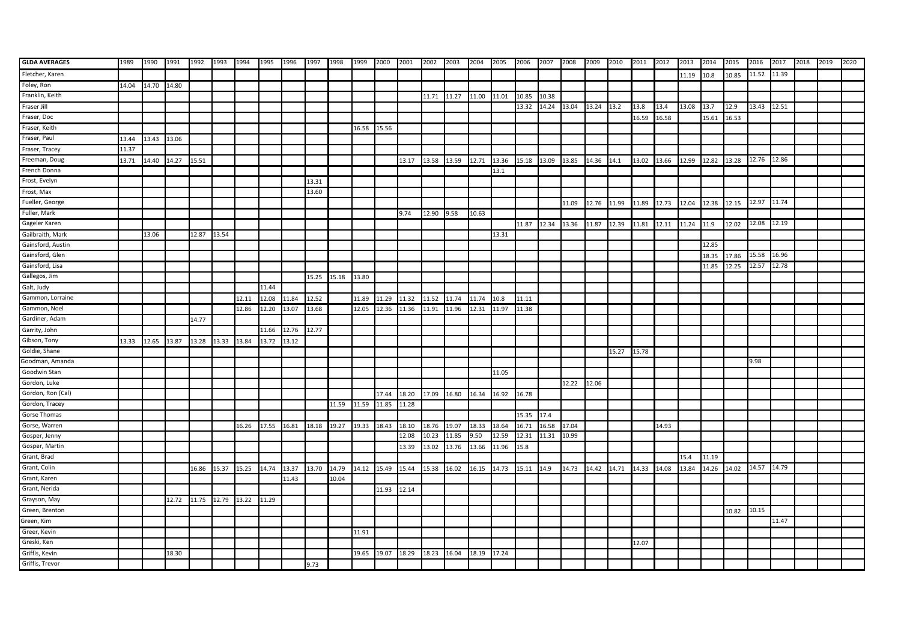| <b>GLDA AVERAGES</b> | 1989  | 1990        | 1991  | 1992  | 1993        | 1994                    | 1995  | 1996  | 1997  | 1998  | 1999        | 2000  | 2001  | 2002        | 2003  | 2004  | 2005  | 2006        | 2007                   | 2008  | 2009        | 2010  | 2011  | 2012  | 2013  | 2014        | 2015  | 2016  | 2017  | 2018 | 2019 | 2020 |
|----------------------|-------|-------------|-------|-------|-------------|-------------------------|-------|-------|-------|-------|-------------|-------|-------|-------------|-------|-------|-------|-------------|------------------------|-------|-------------|-------|-------|-------|-------|-------------|-------|-------|-------|------|------|------|
| Fletcher, Karen      |       |             |       |       |             |                         |       |       |       |       |             |       |       |             |       |       |       |             |                        |       |             |       |       |       | 11.19 | 10.8        | 10.85 | 11.52 | 11.39 |      |      |      |
| Foley, Ron           | 14.04 | 14.70 14.80 |       |       |             |                         |       |       |       |       |             |       |       |             |       |       |       |             |                        |       |             |       |       |       |       |             |       |       |       |      |      |      |
| Franklin, Keith      |       |             |       |       |             |                         |       |       |       |       |             |       |       | 11.71       | 11.27 | 11.00 | 11.01 | 10.85       | 10.38                  |       |             |       |       |       |       |             |       |       |       |      |      |      |
| Fraser Jill          |       |             |       |       |             |                         |       |       |       |       |             |       |       |             |       |       |       | 13.32       | 14.24 13.04 13.24 13.2 |       |             |       | 13.8  | 13.4  | 13.08 | 13.7        | 12.9  | 13.43 | 12.51 |      |      |      |
| Fraser, Doc          |       |             |       |       |             |                         |       |       |       |       |             |       |       |             |       |       |       |             |                        |       |             |       | 16.59 | 16.58 |       | 15.61       | 16.53 |       |       |      |      |      |
| Fraser, Keith        |       |             |       |       |             |                         |       |       |       |       | 16.58       | 15.56 |       |             |       |       |       |             |                        |       |             |       |       |       |       |             |       |       |       |      |      |      |
| Fraser, Paul         | 13.44 | 13.43 13.06 |       |       |             |                         |       |       |       |       |             |       |       |             |       |       |       |             |                        |       |             |       |       |       |       |             |       |       |       |      |      |      |
| Fraser, Tracey       | 11.37 |             |       |       |             |                         |       |       |       |       |             |       |       |             |       |       |       |             |                        |       |             |       |       |       |       |             |       |       |       |      |      |      |
| Freeman, Doug        | 13.71 | 14.40 14.27 |       | 15.51 |             |                         |       |       |       |       |             |       | 13.17 | 13.58 13.59 |       | 12.71 | 13.36 |             | 15.18 13.09 13.85      |       | 14.36 14.1  |       | 13.02 | 13.66 | 12.99 | 12.82       | 13.28 | 12.76 | 12.86 |      |      |      |
| French Donna         |       |             |       |       |             |                         |       |       |       |       |             |       |       |             |       |       | 13.1  |             |                        |       |             |       |       |       |       |             |       |       |       |      |      |      |
| Frost, Evelyn        |       |             |       |       |             |                         |       |       | 13.31 |       |             |       |       |             |       |       |       |             |                        |       |             |       |       |       |       |             |       |       |       |      |      |      |
| Frost, Max           |       |             |       |       |             |                         |       |       | 13.60 |       |             |       |       |             |       |       |       |             |                        |       |             |       |       |       |       |             |       |       |       |      |      |      |
| Fueller, George      |       |             |       |       |             |                         |       |       |       |       |             |       |       |             |       |       |       |             |                        | 11.09 | 12.76 11.99 |       | 11.89 | 12.73 | 12.04 | 12.38       | 12.15 | 12.97 | 11.74 |      |      |      |
| Fuller, Mark         |       |             |       |       |             |                         |       |       |       |       |             |       | 9.74  | 12.90 9.58  |       | 10.63 |       |             |                        |       |             |       |       |       |       |             |       |       |       |      |      |      |
| Gageler Karen        |       |             |       |       |             |                         |       |       |       |       |             |       |       |             |       |       |       | 11.87 12.34 |                        | 13.36 | 11.87       | 12.39 | 11.81 | 12.11 | 11.24 | 11.9        | 12.02 | 12.08 | 12.19 |      |      |      |
| Gailbraith, Mark     |       | 13.06       |       | 12.87 | 13.54       |                         |       |       |       |       |             |       |       |             |       |       | 13.31 |             |                        |       |             |       |       |       |       |             |       |       |       |      |      |      |
| Gainsford, Austin    |       |             |       |       |             |                         |       |       |       |       |             |       |       |             |       |       |       |             |                        |       |             |       |       |       |       | 12.85       |       |       |       |      |      |      |
| Gainsford, Glen      |       |             |       |       |             |                         |       |       |       |       |             |       |       |             |       |       |       |             |                        |       |             |       |       |       |       | 18.35       | 17.86 | 15.58 | 16.96 |      |      |      |
| Gainsford, Lisa      |       |             |       |       |             |                         |       |       |       |       |             |       |       |             |       |       |       |             |                        |       |             |       |       |       |       | 11.85       | 12.25 | 12.57 | 12.78 |      |      |      |
| Gallegos, Jim        |       |             |       |       |             |                         |       |       | 15.25 | 15.18 | 13.80       |       |       |             |       |       |       |             |                        |       |             |       |       |       |       |             |       |       |       |      |      |      |
| Galt, Judy           |       |             |       |       |             |                         | 11.44 |       |       |       |             |       |       |             |       |       |       |             |                        |       |             |       |       |       |       |             |       |       |       |      |      |      |
| Gammon, Lorraine     |       |             |       |       |             | 12.11                   | 12.08 | 11.84 | 12.52 |       | 11.89       | 11.29 | 11.32 | 11.52       | 11.74 | 11.74 | 10.8  | 11.11       |                        |       |             |       |       |       |       |             |       |       |       |      |      |      |
| Gammon, Noel         |       |             |       |       |             | 12.86                   | 12.20 | 13.07 | 13.68 |       | 12.05       | 12.36 | 11.36 | 11.91       | 11.96 | 12.31 | 11.97 | 11.38       |                        |       |             |       |       |       |       |             |       |       |       |      |      |      |
| Gardiner, Adam       |       |             |       | 14.77 |             |                         |       |       |       |       |             |       |       |             |       |       |       |             |                        |       |             |       |       |       |       |             |       |       |       |      |      |      |
| Garrity, John        |       |             |       |       |             |                         | 11.66 | 12.76 | 12.77 |       |             |       |       |             |       |       |       |             |                        |       |             |       |       |       |       |             |       |       |       |      |      |      |
| Gibson, Tony         | 13.33 | 12.65 13.87 |       | 13.28 | 13.33       | 13.84                   | 13.72 | 13.12 |       |       |             |       |       |             |       |       |       |             |                        |       |             |       |       |       |       |             |       |       |       |      |      |      |
| Goldie, Shane        |       |             |       |       |             |                         |       |       |       |       |             |       |       |             |       |       |       |             |                        |       |             | 15.27 | 15.78 |       |       |             |       |       |       |      |      |      |
| Goodman, Amanda      |       |             |       |       |             |                         |       |       |       |       |             |       |       |             |       |       |       |             |                        |       |             |       |       |       |       |             |       | 9.98  |       |      |      |      |
| Goodwin Stan         |       |             |       |       |             |                         |       |       |       |       |             |       |       |             |       |       | 11.05 |             |                        |       |             |       |       |       |       |             |       |       |       |      |      |      |
| Gordon, Luke         |       |             |       |       |             |                         |       |       |       |       |             |       |       |             |       |       |       |             |                        | 12.22 | 12.06       |       |       |       |       |             |       |       |       |      |      |      |
| Gordon, Ron (Cal)    |       |             |       |       |             |                         |       |       |       |       |             | 17.44 | 18.20 | 17.09 16.80 |       | 16.34 | 16.92 | 16.78       |                        |       |             |       |       |       |       |             |       |       |       |      |      |      |
| Gordon, Tracey       |       |             |       |       |             |                         |       |       |       | 11.59 | 11.59       | 11.85 | 11.28 |             |       |       |       |             |                        |       |             |       |       |       |       |             |       |       |       |      |      |      |
| Gorse Thomas         |       |             |       |       |             |                         |       |       |       |       |             |       |       |             |       |       |       | 15.35 17.4  |                        |       |             |       |       |       |       |             |       |       |       |      |      |      |
| Gorse, Warren        |       |             |       |       |             | 16.26                   | 17.55 | 16.81 | 18.18 | 19.27 | 19.33       | 18.43 | 18.10 | 18.76       | 19.07 | 18.33 | 18.64 | 16.71       | 16.58                  | 17.04 |             |       |       | 14.93 |       |             |       |       |       |      |      |      |
| Gosper, Jenny        |       |             |       |       |             |                         |       |       |       |       |             |       | 12.08 | 10.23       | 11.85 | 9.50  | 12.59 | 12.31       | 11.31                  | 10.99 |             |       |       |       |       |             |       |       |       |      |      |      |
| Gosper, Martin       |       |             |       |       |             |                         |       |       |       |       |             |       | 13.39 | 13.02       | 13.76 | 13.66 | 11.96 | 15.8        |                        |       |             |       |       |       |       |             |       |       |       |      |      |      |
| Grant, Brad          |       |             |       |       |             |                         |       |       |       |       |             |       |       |             |       |       |       |             |                        |       |             |       |       |       | 15.4  | 11.19       |       |       |       |      |      |      |
| Grant, Colin         |       |             |       | 16.86 | 15.37 15.25 |                         | 14.74 | 13.37 | 13.70 | 14.79 | 14.12 15.49 |       | 15.44 | 15.38 16.02 |       | 16.15 | 14.73 | 15.11 14.9  |                        | 14.73 | 14.42 14.71 |       | 14.33 | 14.08 | 13.84 | 14.26 14.02 |       | 14.57 | 14.79 |      |      |      |
| Grant, Karen         |       |             |       |       |             |                         |       | 11.43 |       | 10.04 |             |       |       |             |       |       |       |             |                        |       |             |       |       |       |       |             |       |       |       |      |      |      |
| Grant, Nerida        |       |             |       |       |             |                         |       |       |       |       |             | 11.93 | 12.14 |             |       |       |       |             |                        |       |             |       |       |       |       |             |       |       |       |      |      |      |
| Grayson, May         |       |             | 12.72 |       |             | 11.75 12.79 13.22 11.29 |       |       |       |       |             |       |       |             |       |       |       |             |                        |       |             |       |       |       |       |             |       |       |       |      |      |      |
| Green, Brenton       |       |             |       |       |             |                         |       |       |       |       |             |       |       |             |       |       |       |             |                        |       |             |       |       |       |       |             | 10.82 | 10.15 |       |      |      |      |
| Green, Kim           |       |             |       |       |             |                         |       |       |       |       |             |       |       |             |       |       |       |             |                        |       |             |       |       |       |       |             |       |       | 11.47 |      |      |      |
| Greer, Kevin         |       |             |       |       |             |                         |       |       |       |       | 11.91       |       |       |             |       |       |       |             |                        |       |             |       |       |       |       |             |       |       |       |      |      |      |
| Greski, Ken          |       |             |       |       |             |                         |       |       |       |       |             |       |       |             |       |       |       |             |                        |       |             |       | 12.07 |       |       |             |       |       |       |      |      |      |
| Griffis, Kevin       |       |             | 18.30 |       |             |                         |       |       |       |       | 19.65       | 19.07 | 18.29 | 18.23       | 16.04 | 18.19 | 17.24 |             |                        |       |             |       |       |       |       |             |       |       |       |      |      |      |
| Griffis, Trevor      |       |             |       |       |             |                         |       |       | 9.73  |       |             |       |       |             |       |       |       |             |                        |       |             |       |       |       |       |             |       |       |       |      |      |      |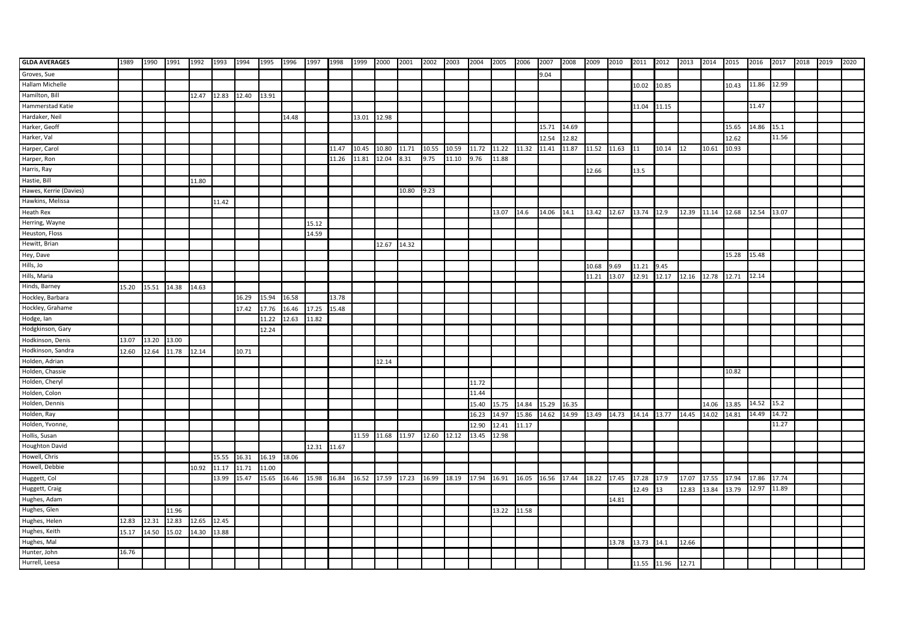| <b>GLDA AVERAGES</b>   | 1989  | 1990        | 1991  | 1992  | 1993  | 1994  | 1995  | 1996  | 1997  | 1998  | 1999  | 2000              | 2001  | 2002        | 2003  | 2004  | 2005  | 2006  | 2007                          | 2008  | 2009  | 2010        | 2011 2012   |       | 2013        | 2014  | 2015  | 2016  | 2017  | 2018 | 2019 | 2020 |
|------------------------|-------|-------------|-------|-------|-------|-------|-------|-------|-------|-------|-------|-------------------|-------|-------------|-------|-------|-------|-------|-------------------------------|-------|-------|-------------|-------------|-------|-------------|-------|-------|-------|-------|------|------|------|
| Groves, Sue            |       |             |       |       |       |       |       |       |       |       |       |                   |       |             |       |       |       |       | 9.04                          |       |       |             |             |       |             |       |       |       |       |      |      |      |
| Hallam Michelle        |       |             |       |       |       |       |       |       |       |       |       |                   |       |             |       |       |       |       |                               |       |       |             | 10.02       | 10.85 |             |       | 10.43 | 11.86 | 12.99 |      |      |      |
| Hamilton, Bill         |       |             |       | 12.47 | 12.83 | 12.40 | 13.91 |       |       |       |       |                   |       |             |       |       |       |       |                               |       |       |             |             |       |             |       |       |       |       |      |      |      |
| Hammerstad Katie       |       |             |       |       |       |       |       |       |       |       |       |                   |       |             |       |       |       |       |                               |       |       |             | 11.04       | 11.15 |             |       |       | 11.47 |       |      |      |      |
| Hardaker, Neil         |       |             |       |       |       |       |       | 14.48 |       |       | 13.01 | 12.98             |       |             |       |       |       |       |                               |       |       |             |             |       |             |       |       |       |       |      |      |      |
| Harker, Geoff          |       |             |       |       |       |       |       |       |       |       |       |                   |       |             |       |       |       |       | 15.71                         | 14.69 |       |             |             |       |             |       | 15.65 | 14.86 | 15.1  |      |      |      |
| Harker, Val            |       |             |       |       |       |       |       |       |       |       |       |                   |       |             |       |       |       |       | 12.54                         | 12.82 |       |             |             |       |             |       | 12.62 |       | 11.56 |      |      |      |
| Harper, Carol          |       |             |       |       |       |       |       |       |       | 11.47 | 10.45 | 10.80             | 11.71 | 10.55       | 10.59 | 11.72 | 11.22 | 11.32 | 11.41                         | 11.87 | 11.52 | 11.63       | 11          | 10.14 |             | 10.61 | 10.93 |       |       |      |      |      |
| Harper, Ron            |       |             |       |       |       |       |       |       |       | 11.26 | 11.81 | 12.04             | 8.31  | 9.75        | 11.10 | 9.76  | 11.88 |       |                               |       |       |             |             |       |             |       |       |       |       |      |      |      |
| Harris, Ray            |       |             |       |       |       |       |       |       |       |       |       |                   |       |             |       |       |       |       |                               |       | 12.66 |             | 13.5        |       |             |       |       |       |       |      |      |      |
| Hastie, Bill           |       |             |       | 11.80 |       |       |       |       |       |       |       |                   |       |             |       |       |       |       |                               |       |       |             |             |       |             |       |       |       |       |      |      |      |
| Hawes, Kerrie (Davies) |       |             |       |       |       |       |       |       |       |       |       |                   | 10.80 | 9.23        |       |       |       |       |                               |       |       |             |             |       |             |       |       |       |       |      |      |      |
| Hawkins, Melissa       |       |             |       |       | 11.42 |       |       |       |       |       |       |                   |       |             |       |       |       |       |                               |       |       |             |             |       |             |       |       |       |       |      |      |      |
| Heath Rex              |       |             |       |       |       |       |       |       |       |       |       |                   |       |             |       |       | 13.07 | 14.6  | 14.06                         | 14.1  | 13.42 | 12.67       | 13.74       | 12.9  | 12.39       | 11.14 | 12.68 | 12.54 | 13.07 |      |      |      |
| Herring, Wayne         |       |             |       |       |       |       |       |       | 15.12 |       |       |                   |       |             |       |       |       |       |                               |       |       |             |             |       |             |       |       |       |       |      |      |      |
| Heuston, Floss         |       |             |       |       |       |       |       |       | 14.59 |       |       |                   |       |             |       |       |       |       |                               |       |       |             |             |       |             |       |       |       |       |      |      |      |
| Hewitt, Brian          |       |             |       |       |       |       |       |       |       |       |       | 12.67             | 14.32 |             |       |       |       |       |                               |       |       |             |             |       |             |       |       |       |       |      |      |      |
| Hey, Dave              |       |             |       |       |       |       |       |       |       |       |       |                   |       |             |       |       |       |       |                               |       |       |             |             |       |             |       | 15.28 | 15.48 |       |      |      |      |
| Hills, Jo              |       |             |       |       |       |       |       |       |       |       |       |                   |       |             |       |       |       |       |                               |       | 10.68 | 9.69        | 11.21       | 9.45  |             |       |       |       |       |      |      |      |
| Hills, Maria           |       |             |       |       |       |       |       |       |       |       |       |                   |       |             |       |       |       |       |                               |       | 11.21 | 13.07       | 12.91       | 12.17 | 12.16 12.78 |       | 12.71 | 12.14 |       |      |      |      |
| Hinds, Barney          | 15.20 | 15.51       | 14.38 | 14.63 |       |       |       |       |       |       |       |                   |       |             |       |       |       |       |                               |       |       |             |             |       |             |       |       |       |       |      |      |      |
| Hockley, Barbara       |       |             |       |       |       | 16.29 | 15.94 | 16.58 |       | 13.78 |       |                   |       |             |       |       |       |       |                               |       |       |             |             |       |             |       |       |       |       |      |      |      |
| Hockley, Grahame       |       |             |       |       |       | 17.42 | 17.76 | 16.46 | 17.25 | 15.48 |       |                   |       |             |       |       |       |       |                               |       |       |             |             |       |             |       |       |       |       |      |      |      |
| Hodge, lan             |       |             |       |       |       |       | 11.22 | 12.63 | 11.82 |       |       |                   |       |             |       |       |       |       |                               |       |       |             |             |       |             |       |       |       |       |      |      |      |
| Hodgkinson, Gary       |       |             |       |       |       |       | 12.24 |       |       |       |       |                   |       |             |       |       |       |       |                               |       |       |             |             |       |             |       |       |       |       |      |      |      |
| Hodkinson, Denis       | 13.07 | 13.20 13.00 |       |       |       |       |       |       |       |       |       |                   |       |             |       |       |       |       |                               |       |       |             |             |       |             |       |       |       |       |      |      |      |
| Hodkinson, Sandra      | 12.60 | 12.64       | 11.78 | 12.14 |       | 10.71 |       |       |       |       |       |                   |       |             |       |       |       |       |                               |       |       |             |             |       |             |       |       |       |       |      |      |      |
| Holden, Adrian         |       |             |       |       |       |       |       |       |       |       |       | 12.14             |       |             |       |       |       |       |                               |       |       |             |             |       |             |       |       |       |       |      |      |      |
| Holden, Chassie        |       |             |       |       |       |       |       |       |       |       |       |                   |       |             |       |       |       |       |                               |       |       |             |             |       |             |       | 10.82 |       |       |      |      |      |
| Holden, Cheryl         |       |             |       |       |       |       |       |       |       |       |       |                   |       |             |       | 11.72 |       |       |                               |       |       |             |             |       |             |       |       |       |       |      |      |      |
| Holden, Colon          |       |             |       |       |       |       |       |       |       |       |       |                   |       |             |       | 11.44 |       |       |                               |       |       |             |             |       |             |       |       |       |       |      |      |      |
| Holden, Dennis         |       |             |       |       |       |       |       |       |       |       |       |                   |       |             |       | 15.40 | 15.75 | 14.84 | 15.29                         | 16.35 |       |             |             |       |             | 14.06 | 13.85 | 14.52 | 15.2  |      |      |      |
| Holden, Ray            |       |             |       |       |       |       |       |       |       |       |       |                   |       |             |       | 16.23 | 14.97 | 15.86 | 14.62                         | 14.99 | 13.49 | 14.73       | 14.14       | 13.77 | 14.45       | 14.02 | 14.81 | 14.49 | 14.72 |      |      |      |
| Holden, Yvonne,        |       |             |       |       |       |       |       |       |       |       |       |                   |       |             |       | 12.90 | 12.41 | 11.17 |                               |       |       |             |             |       |             |       |       |       | 11.27 |      |      |      |
| Hollis, Susan          |       |             |       |       |       |       |       |       |       |       |       | 11.59 11.68 11.97 |       | 12.60 12.12 |       | 13.45 | 12.98 |       |                               |       |       |             |             |       |             |       |       |       |       |      |      |      |
| Houghton David         |       |             |       |       |       |       |       |       | 12.31 | 11.67 |       |                   |       |             |       |       |       |       |                               |       |       |             |             |       |             |       |       |       |       |      |      |      |
| Howell, Chris          |       |             |       |       | 15.55 | 16.31 | 16.19 | 18.06 |       |       |       |                   |       |             |       |       |       |       |                               |       |       |             |             |       |             |       |       |       |       |      |      |      |
| Howell, Debbie         |       |             |       | 10.92 | 11.17 | 11.71 | 11.00 |       |       |       |       |                   |       |             |       |       |       |       |                               |       |       |             |             |       |             |       |       |       |       |      |      |      |
| Huggett, Col           |       |             |       |       | 13.99 | 15.47 | 15.65 | 16.46 | 15.98 | 16.84 |       | 16.52 17.59 17.23 |       | 16.99 18.19 |       | 17.94 | 16.91 |       | 16.05 16.56 17.44 18.22 17.45 |       |       |             | 17.28       | 17.9  | 17.07       | 17.55 | 17.94 | 17.86 | 17.74 |      |      |      |
| Huggett, Craig         |       |             |       |       |       |       |       |       |       |       |       |                   |       |             |       |       |       |       |                               |       |       |             | 12.49       | 13    | 12.83       | 13.84 | 13.79 | 12.97 | 11.89 |      |      |      |
| Hughes, Adam           |       |             |       |       |       |       |       |       |       |       |       |                   |       |             |       |       |       |       |                               |       |       | 14.81       |             |       |             |       |       |       |       |      |      |      |
| Hughes, Glen           |       |             | 11.96 |       |       |       |       |       |       |       |       |                   |       |             |       |       | 13.22 | 11.58 |                               |       |       |             |             |       |             |       |       |       |       |      |      |      |
| Hughes, Helen          | 12.83 | 12.31       | 12.83 | 12.65 | 12.45 |       |       |       |       |       |       |                   |       |             |       |       |       |       |                               |       |       |             |             |       |             |       |       |       |       |      |      |      |
| Hughes, Keith          | 15.17 | 14.50       | 15.02 | 14.30 | 13.88 |       |       |       |       |       |       |                   |       |             |       |       |       |       |                               |       |       |             |             |       |             |       |       |       |       |      |      |      |
| Hughes, Mal            |       |             |       |       |       |       |       |       |       |       |       |                   |       |             |       |       |       |       |                               |       |       | 13.78 13.73 |             | 14.1  | 12.66       |       |       |       |       |      |      |      |
| Hunter, John           | 16.76 |             |       |       |       |       |       |       |       |       |       |                   |       |             |       |       |       |       |                               |       |       |             |             |       |             |       |       |       |       |      |      |      |
| Hurrell, Leesa         |       |             |       |       |       |       |       |       |       |       |       |                   |       |             |       |       |       |       |                               |       |       |             | 11.55 11.96 |       | 12.71       |       |       |       |       |      |      |      |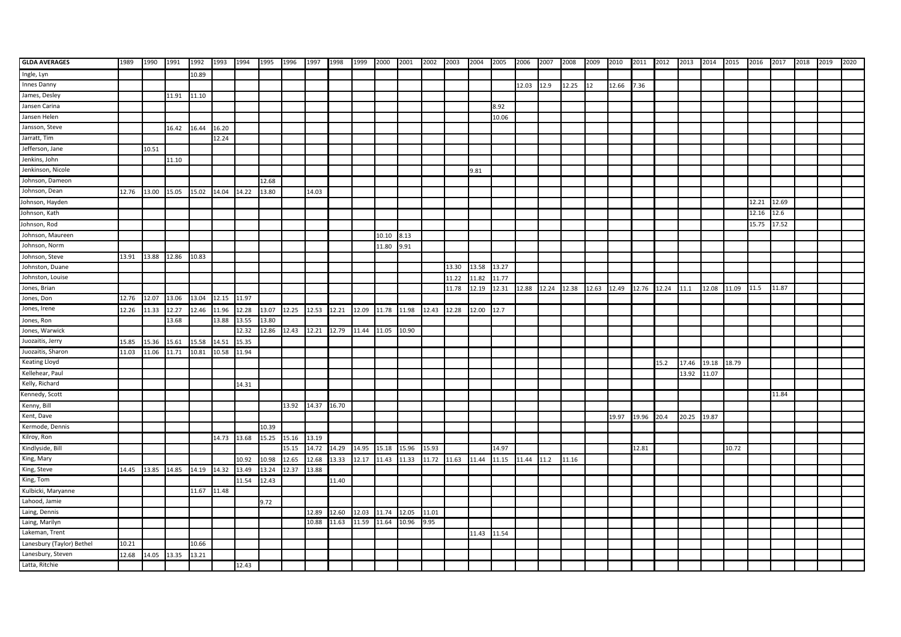| <b>GLDA AVERAGES</b>      | 1989  | 1990                    | 1991  | 1992  | 1993              | 1994  | 1995  | 1996  | 1997  | 1998  | 1999  | 2000  | 2001  | 2002        | 2003  | 2004  | 2005  | 2006       | 2007              | 2008  | 2009  | 2010        | 2011 2012 |       | 2013  | 2014  | 2015  | 2016  | 2017  | 2018 | 2019 | 2020 |
|---------------------------|-------|-------------------------|-------|-------|-------------------|-------|-------|-------|-------|-------|-------|-------|-------|-------------|-------|-------|-------|------------|-------------------|-------|-------|-------------|-----------|-------|-------|-------|-------|-------|-------|------|------|------|
| Ingle, Lyn                |       |                         |       | 10.89 |                   |       |       |       |       |       |       |       |       |             |       |       |       |            |                   |       |       |             |           |       |       |       |       |       |       |      |      |      |
| Innes Danny               |       |                         |       |       |                   |       |       |       |       |       |       |       |       |             |       |       |       | 12.03 12.9 |                   | 12.25 | 12    | 12.66       | 7.36      |       |       |       |       |       |       |      |      |      |
| James, Desley             |       |                         | 11.91 | 11.10 |                   |       |       |       |       |       |       |       |       |             |       |       |       |            |                   |       |       |             |           |       |       |       |       |       |       |      |      |      |
| Jansen Carina             |       |                         |       |       |                   |       |       |       |       |       |       |       |       |             |       |       | 8.92  |            |                   |       |       |             |           |       |       |       |       |       |       |      |      |      |
| Jansen Helen              |       |                         |       |       |                   |       |       |       |       |       |       |       |       |             |       |       | 10.06 |            |                   |       |       |             |           |       |       |       |       |       |       |      |      |      |
| Jansson, Steve            |       |                         | 16.42 | 16.44 | 16.20             |       |       |       |       |       |       |       |       |             |       |       |       |            |                   |       |       |             |           |       |       |       |       |       |       |      |      |      |
| Jarratt, Tim              |       |                         |       |       | 12.24             |       |       |       |       |       |       |       |       |             |       |       |       |            |                   |       |       |             |           |       |       |       |       |       |       |      |      |      |
| Jefferson, Jane           |       | 10.51                   |       |       |                   |       |       |       |       |       |       |       |       |             |       |       |       |            |                   |       |       |             |           |       |       |       |       |       |       |      |      |      |
| Jenkins, John             |       |                         | 11.10 |       |                   |       |       |       |       |       |       |       |       |             |       |       |       |            |                   |       |       |             |           |       |       |       |       |       |       |      |      |      |
| Jenkinson, Nicole         |       |                         |       |       |                   |       |       |       |       |       |       |       |       |             |       | 9.81  |       |            |                   |       |       |             |           |       |       |       |       |       |       |      |      |      |
| Johnson, Dameon           |       |                         |       |       |                   |       | 12.68 |       |       |       |       |       |       |             |       |       |       |            |                   |       |       |             |           |       |       |       |       |       |       |      |      |      |
| Johnson, Dean             | 12.76 | 13.00 15.05             |       | 15.02 | 14.04             | 14.22 | 13.80 |       | 14.03 |       |       |       |       |             |       |       |       |            |                   |       |       |             |           |       |       |       |       |       |       |      |      |      |
| Johnson, Hayden           |       |                         |       |       |                   |       |       |       |       |       |       |       |       |             |       |       |       |            |                   |       |       |             |           |       |       |       |       | 12.21 | 12.69 |      |      |      |
| Johnson, Kath             |       |                         |       |       |                   |       |       |       |       |       |       |       |       |             |       |       |       |            |                   |       |       |             |           |       |       |       |       | 12.16 | 12.6  |      |      |      |
| Johnson, Rod              |       |                         |       |       |                   |       |       |       |       |       |       |       |       |             |       |       |       |            |                   |       |       |             |           |       |       |       |       | 15.75 | 17.52 |      |      |      |
| Johnson, Maureen          |       |                         |       |       |                   |       |       |       |       |       |       | 10.10 | 8.13  |             |       |       |       |            |                   |       |       |             |           |       |       |       |       |       |       |      |      |      |
| Johnson, Norm             |       |                         |       |       |                   |       |       |       |       |       |       | 11.80 | 9.91  |             |       |       |       |            |                   |       |       |             |           |       |       |       |       |       |       |      |      |      |
| Johnson, Steve            | 13.91 | 13.88 12.86             |       | 10.83 |                   |       |       |       |       |       |       |       |       |             |       |       |       |            |                   |       |       |             |           |       |       |       |       |       |       |      |      |      |
| Johnston, Duane           |       |                         |       |       |                   |       |       |       |       |       |       |       |       |             | 13.30 | 13.58 | 13.27 |            |                   |       |       |             |           |       |       |       |       |       |       |      |      |      |
| Johnston, Louise          |       |                         |       |       |                   |       |       |       |       |       |       |       |       |             | 11.22 | 11.82 | 11.77 |            |                   |       |       |             |           |       |       |       |       |       |       |      |      |      |
| Jones, Brian              |       |                         |       |       |                   |       |       |       |       |       |       |       |       |             | 11.78 | 12.19 | 12.31 |            | 12.88 12.24 12.38 |       | 12.63 | 12.49 12.76 |           | 12.24 | 11.1  | 12.08 | 11.09 | 11.5  | 11.87 |      |      |      |
| Jones, Don                | 12.76 | 12.07 13.06             |       |       | 13.04 12.15 11.97 |       |       |       |       |       |       |       |       |             |       |       |       |            |                   |       |       |             |           |       |       |       |       |       |       |      |      |      |
| Jones, Irene              | 12.26 | 11.33                   | 12.27 | 12.46 | 11.96             | 12.28 | 13.07 | 12.25 | 12.53 | 12.21 | 12.09 | 11.78 | 11.98 | 12.43       | 12.28 | 12.00 | 12.7  |            |                   |       |       |             |           |       |       |       |       |       |       |      |      |      |
| Jones, Ron                |       |                         | 13.68 |       | 13.88             | 13.55 | 13.80 |       |       |       |       |       |       |             |       |       |       |            |                   |       |       |             |           |       |       |       |       |       |       |      |      |      |
| Jones, Warwick            |       |                         |       |       |                   | 12.32 | 12.86 | 12.43 | 12.21 | 12.79 | 11.44 | 11.05 | 10.90 |             |       |       |       |            |                   |       |       |             |           |       |       |       |       |       |       |      |      |      |
| Juozaitis, Jerry          | 15.85 | 15.36                   | 15.61 | 15.58 | 14.51             | 15.35 |       |       |       |       |       |       |       |             |       |       |       |            |                   |       |       |             |           |       |       |       |       |       |       |      |      |      |
| Juozaitis, Sharon         | 11.03 | 11.06                   | 11.71 | 10.81 | 10.58             | 11.94 |       |       |       |       |       |       |       |             |       |       |       |            |                   |       |       |             |           |       |       |       |       |       |       |      |      |      |
| Keating Lloyd             |       |                         |       |       |                   |       |       |       |       |       |       |       |       |             |       |       |       |            |                   |       |       |             |           | 15.2  | 17.46 | 19.18 | 18.79 |       |       |      |      |      |
| Kellehear, Paul           |       |                         |       |       |                   |       |       |       |       |       |       |       |       |             |       |       |       |            |                   |       |       |             |           |       | 13.92 | 11.07 |       |       |       |      |      |      |
| Kelly, Richard            |       |                         |       |       |                   | 14.31 |       |       |       |       |       |       |       |             |       |       |       |            |                   |       |       |             |           |       |       |       |       |       |       |      |      |      |
| Kennedy, Scott            |       |                         |       |       |                   |       |       |       |       |       |       |       |       |             |       |       |       |            |                   |       |       |             |           |       |       |       |       |       | 11.84 |      |      |      |
| Kenny, Bill               |       |                         |       |       |                   |       |       | 13.92 | 14.37 | 16.70 |       |       |       |             |       |       |       |            |                   |       |       |             |           |       |       |       |       |       |       |      |      |      |
| Kent, Dave                |       |                         |       |       |                   |       |       |       |       |       |       |       |       |             |       |       |       |            |                   |       |       | 19.97       | 19.96     | 20.4  | 20.25 | 19.87 |       |       |       |      |      |      |
| Kermode, Dennis           |       |                         |       |       |                   |       | 10.39 |       |       |       |       |       |       |             |       |       |       |            |                   |       |       |             |           |       |       |       |       |       |       |      |      |      |
| Kilroy, Ron               |       |                         |       |       | 14.73             | 13.68 | 15.25 | 15.16 | 13.19 |       |       |       |       |             |       |       |       |            |                   |       |       |             |           |       |       |       |       |       |       |      |      |      |
| Kindlyside, Bill          |       |                         |       |       |                   |       |       | 15.15 | 14.72 | 14.29 | 14.95 | 15.18 | 15.96 | 15.93       |       |       | 14.97 |            |                   |       |       |             | 12.81     |       |       |       | 10.72 |       |       |      |      |      |
| King, Mary                |       |                         |       |       |                   | 10.92 | 10.98 | 12.65 | 12.68 | 13.33 | 12.17 | 11.43 | 11.33 | 11.72 11.63 |       | 11.44 | 11.15 | 11.44 11.2 |                   | 11.16 |       |             |           |       |       |       |       |       |       |      |      |      |
| King, Steve               | 14.45 | 13.85 14.85 14.19 14.32 |       |       |                   | 13.49 | 13.24 | 12.37 | 13.88 |       |       |       |       |             |       |       |       |            |                   |       |       |             |           |       |       |       |       |       |       |      |      |      |
| King, Tom                 |       |                         |       |       |                   | 11.54 | 12.43 |       |       | 11.40 |       |       |       |             |       |       |       |            |                   |       |       |             |           |       |       |       |       |       |       |      |      |      |
| Kulbicki, Maryanne        |       |                         |       | 11.67 | 11.48             |       |       |       |       |       |       |       |       |             |       |       |       |            |                   |       |       |             |           |       |       |       |       |       |       |      |      |      |
| Lahood, Jamie             |       |                         |       |       |                   |       | 9.72  |       |       |       |       |       |       |             |       |       |       |            |                   |       |       |             |           |       |       |       |       |       |       |      |      |      |
| Laing, Dennis             |       |                         |       |       |                   |       |       |       | 12.89 | 12.60 | 12.03 | 11.74 | 12.05 | 11.01       |       |       |       |            |                   |       |       |             |           |       |       |       |       |       |       |      |      |      |
| Laing, Marilyn            |       |                         |       |       |                   |       |       |       | 10.88 | 11.63 | 11.59 | 11.64 | 10.96 | 9.95        |       |       |       |            |                   |       |       |             |           |       |       |       |       |       |       |      |      |      |
| Lakeman, Trent            |       |                         |       |       |                   |       |       |       |       |       |       |       |       |             |       | 11.43 | 11.54 |            |                   |       |       |             |           |       |       |       |       |       |       |      |      |      |
| Lanesbury (Taylor) Bethel | 10.21 |                         |       | 10.66 |                   |       |       |       |       |       |       |       |       |             |       |       |       |            |                   |       |       |             |           |       |       |       |       |       |       |      |      |      |
| Lanesbury, Steven         | 12.68 | 14.05                   | 13.35 | 13.21 |                   |       |       |       |       |       |       |       |       |             |       |       |       |            |                   |       |       |             |           |       |       |       |       |       |       |      |      |      |
| Latta, Ritchie            |       |                         |       |       |                   | 12.43 |       |       |       |       |       |       |       |             |       |       |       |            |                   |       |       |             |           |       |       |       |       |       |       |      |      |      |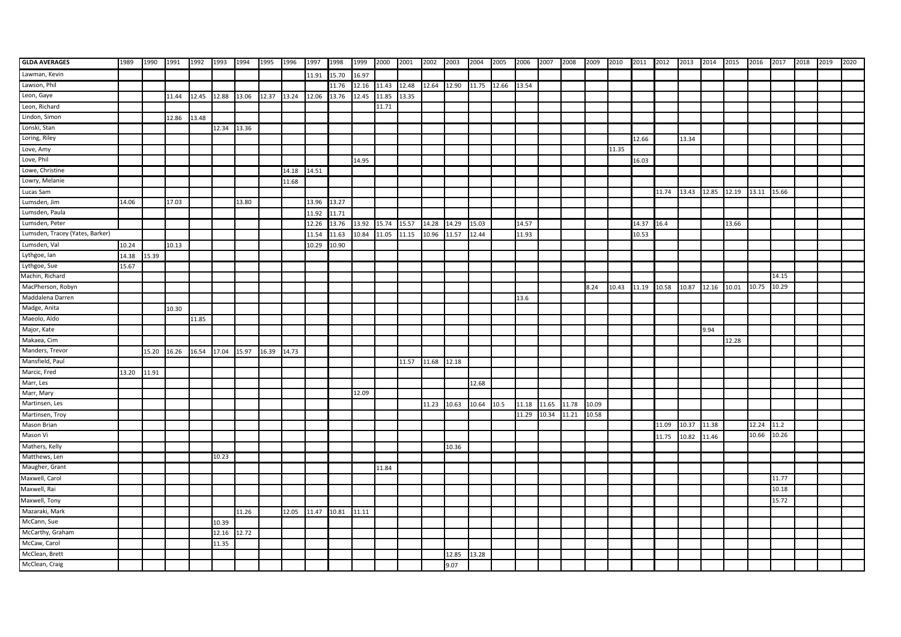| <b>GLDA AVERAGES</b>            | 1989  | 1990  | 1991                    | 1992  | 1993        | 1994  | 1995  | 1996  | 1997  | 1998  | 1999  | 2000  | 2001              | 2002        | 2003  | 2004  | 2005        | 2006  | 2007        | 2008  | 2009  | 2010  | 2011 2012 |       | 2013  | 2014        | 2015  | 2016        | 2017  | 2018 | 2019 | 2020 |
|---------------------------------|-------|-------|-------------------------|-------|-------------|-------|-------|-------|-------|-------|-------|-------|-------------------|-------------|-------|-------|-------------|-------|-------------|-------|-------|-------|-----------|-------|-------|-------------|-------|-------------|-------|------|------|------|
| Lawman, Kevin                   |       |       |                         |       |             |       |       |       | 11.91 | 15.70 | 16.97 |       |                   |             |       |       |             |       |             |       |       |       |           |       |       |             |       |             |       |      |      |      |
| Lawson, Phil                    |       |       |                         |       |             |       |       |       |       | 11.76 | 12.16 | 11.43 | 12.48 12.64 12.90 |             |       | 11.75 | 12.66 13.54 |       |             |       |       |       |           |       |       |             |       |             |       |      |      |      |
| Leon, Gaye                      |       |       | 11.44                   | 12.45 | 12.88       | 13.06 | 12.37 | 13.24 | 12.06 | 13.76 | 12.45 | 11.85 | 13.35             |             |       |       |             |       |             |       |       |       |           |       |       |             |       |             |       |      |      |      |
| Leon, Richard                   |       |       |                         |       |             |       |       |       |       |       |       | 11.71 |                   |             |       |       |             |       |             |       |       |       |           |       |       |             |       |             |       |      |      |      |
| Lindon, Simon                   |       |       | 12.86                   | 13.48 |             |       |       |       |       |       |       |       |                   |             |       |       |             |       |             |       |       |       |           |       |       |             |       |             |       |      |      |      |
| Lonski, Stan                    |       |       |                         |       | 12.34 13.36 |       |       |       |       |       |       |       |                   |             |       |       |             |       |             |       |       |       |           |       |       |             |       |             |       |      |      |      |
| Loring, Riley                   |       |       |                         |       |             |       |       |       |       |       |       |       |                   |             |       |       |             |       |             |       |       |       | 12.66     |       | 13.34 |             |       |             |       |      |      |      |
| Love, Amy                       |       |       |                         |       |             |       |       |       |       |       |       |       |                   |             |       |       |             |       |             |       |       | 11.35 |           |       |       |             |       |             |       |      |      |      |
| Love, Phil                      |       |       |                         |       |             |       |       |       |       |       | 14.95 |       |                   |             |       |       |             |       |             |       |       |       | 16.03     |       |       |             |       |             |       |      |      |      |
| Lowe, Christine                 |       |       |                         |       |             |       |       | 14.18 | 14.51 |       |       |       |                   |             |       |       |             |       |             |       |       |       |           |       |       |             |       |             |       |      |      |      |
| Lowry, Melanie                  |       |       |                         |       |             |       |       | 11.68 |       |       |       |       |                   |             |       |       |             |       |             |       |       |       |           |       |       |             |       |             |       |      |      |      |
| Lucas Sam                       |       |       |                         |       |             |       |       |       |       |       |       |       |                   |             |       |       |             |       |             |       |       |       |           | 11.74 | 13.43 | 12.85 12.19 |       | 13.11 15.66 |       |      |      |      |
| Lumsden, Jim                    | 14.06 |       | 17.03                   |       |             | 13.80 |       |       | 13.96 | 13.27 |       |       |                   |             |       |       |             |       |             |       |       |       |           |       |       |             |       |             |       |      |      |      |
| Lumsden, Paula                  |       |       |                         |       |             |       |       |       | 11.92 | 11.71 |       |       |                   |             |       |       |             |       |             |       |       |       |           |       |       |             |       |             |       |      |      |      |
| Lumsden, Peter                  |       |       |                         |       |             |       |       |       | 12.26 | 13.76 | 13.92 | 15.74 | 15.57             | 14.28 14.29 |       | 15.03 |             | 14.57 |             |       |       |       | 14.37     | 16.4  |       |             | 13.66 |             |       |      |      |      |
| Lumsden, Tracey (Yates, Barker) |       |       |                         |       |             |       |       |       | 11.54 | 11.63 | 10.84 | 11.05 | 11.15             | 10.96       | 11.57 | 12.44 |             | 11.93 |             |       |       |       | 10.53     |       |       |             |       |             |       |      |      |      |
| Lumsden, Val                    | 10.24 |       | 10.13                   |       |             |       |       |       | 10.29 | 10.90 |       |       |                   |             |       |       |             |       |             |       |       |       |           |       |       |             |       |             |       |      |      |      |
| Lythgoe, lan                    | 14.38 | 15.39 |                         |       |             |       |       |       |       |       |       |       |                   |             |       |       |             |       |             |       |       |       |           |       |       |             |       |             |       |      |      |      |
| Lythgoe, Sue                    | 15.67 |       |                         |       |             |       |       |       |       |       |       |       |                   |             |       |       |             |       |             |       |       |       |           |       |       |             |       |             |       |      |      |      |
| Machin, Richard                 |       |       |                         |       |             |       |       |       |       |       |       |       |                   |             |       |       |             |       |             |       |       |       |           |       |       |             |       |             | 14.15 |      |      |      |
| MacPherson, Robyn               |       |       |                         |       |             |       |       |       |       |       |       |       |                   |             |       |       |             |       |             |       | 8.24  | 10.43 | 11.19     | 10.58 | 10.87 | 12.16       | 10.01 | 10.75       | 10.29 |      |      |      |
| Maddalena Darren                |       |       |                         |       |             |       |       |       |       |       |       |       |                   |             |       |       |             | 13.6  |             |       |       |       |           |       |       |             |       |             |       |      |      |      |
| Madge, Anita                    |       |       | 10.30                   |       |             |       |       |       |       |       |       |       |                   |             |       |       |             |       |             |       |       |       |           |       |       |             |       |             |       |      |      |      |
| Maeolo, Aldo                    |       |       |                         | 11.85 |             |       |       |       |       |       |       |       |                   |             |       |       |             |       |             |       |       |       |           |       |       |             |       |             |       |      |      |      |
| Major, Kate                     |       |       |                         |       |             |       |       |       |       |       |       |       |                   |             |       |       |             |       |             |       |       |       |           |       |       | 9.94        |       |             |       |      |      |      |
| Makaea, Cim                     |       |       |                         |       |             |       |       |       |       |       |       |       |                   |             |       |       |             |       |             |       |       |       |           |       |       |             | 12.28 |             |       |      |      |      |
| Manders, Trevor                 |       | 15.20 | 16.26 16.54 17.04 15.97 |       |             |       | 16.39 | 14.73 |       |       |       |       |                   |             |       |       |             |       |             |       |       |       |           |       |       |             |       |             |       |      |      |      |
| Mansfield, Paul                 |       |       |                         |       |             |       |       |       |       |       |       |       | 11.57             | 11.68 12.18 |       |       |             |       |             |       |       |       |           |       |       |             |       |             |       |      |      |      |
| Marcic, Fred                    | 13.20 | 11.91 |                         |       |             |       |       |       |       |       |       |       |                   |             |       |       |             |       |             |       |       |       |           |       |       |             |       |             |       |      |      |      |
| Marr, Les                       |       |       |                         |       |             |       |       |       |       |       |       |       |                   |             |       | 12.68 |             |       |             |       |       |       |           |       |       |             |       |             |       |      |      |      |
| Marr, Mary                      |       |       |                         |       |             |       |       |       |       |       | 12.09 |       |                   |             |       |       |             |       |             |       |       |       |           |       |       |             |       |             |       |      |      |      |
| Martinsen, Les                  |       |       |                         |       |             |       |       |       |       |       |       |       |                   | 11.23       | 10.63 | 10.64 | 10.5        | 11.18 | 11.65       | 11.78 | 10.09 |       |           |       |       |             |       |             |       |      |      |      |
| Martinsen, Troy                 |       |       |                         |       |             |       |       |       |       |       |       |       |                   |             |       |       |             | 11.29 | 10.34 11.21 |       | 10.58 |       |           |       |       |             |       |             |       |      |      |      |
| Mason Brian                     |       |       |                         |       |             |       |       |       |       |       |       |       |                   |             |       |       |             |       |             |       |       |       |           | 11.09 | 10.37 | 11.38       |       | 12.24       | 11.2  |      |      |      |
| Mason Vi                        |       |       |                         |       |             |       |       |       |       |       |       |       |                   |             |       |       |             |       |             |       |       |       |           | 11.75 | 10.82 | 11.46       |       | 10.66       | 10.26 |      |      |      |
| Mathers, Kelly                  |       |       |                         |       |             |       |       |       |       |       |       |       |                   |             | 10.36 |       |             |       |             |       |       |       |           |       |       |             |       |             |       |      |      |      |
| Matthews, Len                   |       |       |                         |       | 10.23       |       |       |       |       |       |       |       |                   |             |       |       |             |       |             |       |       |       |           |       |       |             |       |             |       |      |      |      |
| Maugher, Grant                  |       |       |                         |       |             |       |       |       |       |       |       | 11.84 |                   |             |       |       |             |       |             |       |       |       |           |       |       |             |       |             |       |      |      |      |
| Maxwell, Carol                  |       |       |                         |       |             |       |       |       |       |       |       |       |                   |             |       |       |             |       |             |       |       |       |           |       |       |             |       |             | 11.77 |      |      |      |
| Maxwell, Rai                    |       |       |                         |       |             |       |       |       |       |       |       |       |                   |             |       |       |             |       |             |       |       |       |           |       |       |             |       |             | 10.18 |      |      |      |
| Maxwell, Tony                   |       |       |                         |       |             |       |       |       |       |       |       |       |                   |             |       |       |             |       |             |       |       |       |           |       |       |             |       |             | 15.72 |      |      |      |
| Mazaraki, Mark                  |       |       |                         |       |             | 11.26 |       | 12.05 | 11.47 | 10.81 | 11.11 |       |                   |             |       |       |             |       |             |       |       |       |           |       |       |             |       |             |       |      |      |      |
| McCann, Sue                     |       |       |                         |       | 10.39       |       |       |       |       |       |       |       |                   |             |       |       |             |       |             |       |       |       |           |       |       |             |       |             |       |      |      |      |
| McCarthy, Graham                |       |       |                         |       | 12.16       | 12.72 |       |       |       |       |       |       |                   |             |       |       |             |       |             |       |       |       |           |       |       |             |       |             |       |      |      |      |
| McCaw, Carol                    |       |       |                         |       | 11.35       |       |       |       |       |       |       |       |                   |             |       |       |             |       |             |       |       |       |           |       |       |             |       |             |       |      |      |      |
| McClean, Brett                  |       |       |                         |       |             |       |       |       |       |       |       |       |                   |             | 12.85 | 13.28 |             |       |             |       |       |       |           |       |       |             |       |             |       |      |      |      |
| McClean, Craig                  |       |       |                         |       |             |       |       |       |       |       |       |       |                   |             | 9.07  |       |             |       |             |       |       |       |           |       |       |             |       |             |       |      |      |      |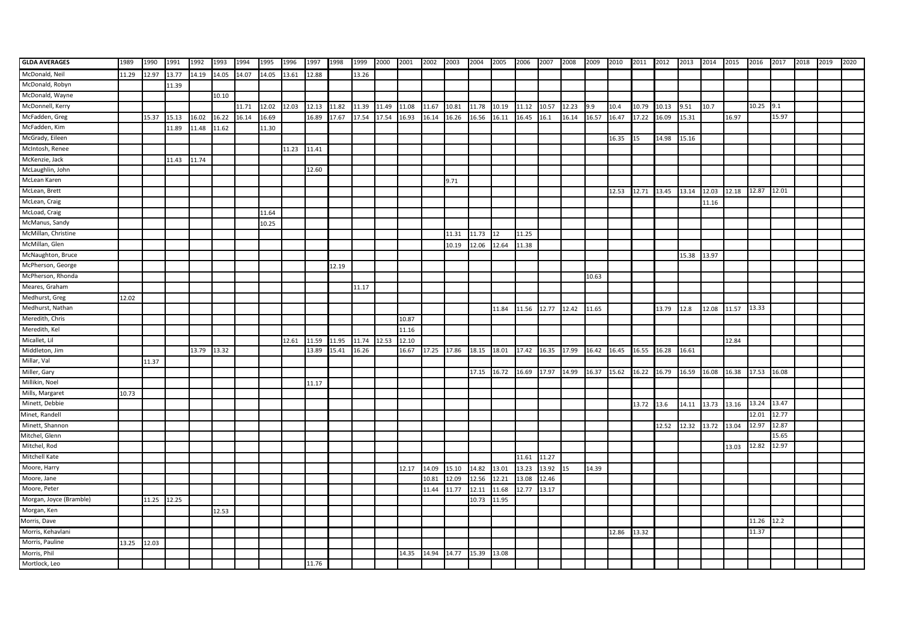| <b>GLDA AVERAGES</b>    | 1989  | 1990  | 1991  | 1992        | 1993  | 1994  | 1995  | 1996  | 1997  | 1998  | 1999  | 2000  | 2001  | 2002        | 2003  | 2004  | 2005  | 2006        | 2007              | 2008  | 2009  | 2010                                                  | 2011 2012 |       | 2013  | 2014  | 2015                              | 2016  | 2017  | 2018 | 2019 | 2020 |
|-------------------------|-------|-------|-------|-------------|-------|-------|-------|-------|-------|-------|-------|-------|-------|-------------|-------|-------|-------|-------------|-------------------|-------|-------|-------------------------------------------------------|-----------|-------|-------|-------|-----------------------------------|-------|-------|------|------|------|
| McDonald, Neil          | 11.29 | 12.97 | 13.77 | 14.19 14.05 |       | 14.07 | 14.05 | 13.61 | 12.88 |       | 13.26 |       |       |             |       |       |       |             |                   |       |       |                                                       |           |       |       |       |                                   |       |       |      |      |      |
| McDonald, Robyn         |       |       | 11.39 |             |       |       |       |       |       |       |       |       |       |             |       |       |       |             |                   |       |       |                                                       |           |       |       |       |                                   |       |       |      |      |      |
| McDonald, Wayne         |       |       |       |             | 10.10 |       |       |       |       |       |       |       |       |             |       |       |       |             |                   |       |       |                                                       |           |       |       |       |                                   |       |       |      |      |      |
| McDonnell, Kerry        |       |       |       |             |       | 11.71 | 12.02 | 12.03 | 12.13 | 11.82 | 11.39 | 11.49 | 11.08 | 11.67       | 10.81 | 11.78 | 10.19 | 11.12 10.57 |                   | 12.23 | 9.9   | 10.4                                                  | 10.79     | 10.13 | 9.51  | 10.7  |                                   | 10.25 | 9.1   |      |      |      |
| McFadden, Greg          |       | 15.37 | 15.13 | 16.02       | 16.22 | 16.14 | 16.69 |       | 16.89 | 17.67 | 17.54 | 17.54 | 16.93 | 16.14       | 16.26 | 16.56 | 16.11 | 16.45       | 16.1              | 16.14 | 16.57 | 16.47                                                 | 17.22     | 16.09 | 15.31 |       | 16.97                             |       | 15.97 |      |      |      |
| McFadden, Kim           |       |       | 11.89 | 11.48       | 11.62 |       | 11.30 |       |       |       |       |       |       |             |       |       |       |             |                   |       |       |                                                       |           |       |       |       |                                   |       |       |      |      |      |
| McGrady, Eileen         |       |       |       |             |       |       |       |       |       |       |       |       |       |             |       |       |       |             |                   |       |       | 16.35                                                 | 15        | 14.98 | 15.16 |       |                                   |       |       |      |      |      |
| McIntosh, Renee         |       |       |       |             |       |       |       | 11.23 | 11.41 |       |       |       |       |             |       |       |       |             |                   |       |       |                                                       |           |       |       |       |                                   |       |       |      |      |      |
| McKenzie, Jack          |       |       | 11.43 | 11.74       |       |       |       |       |       |       |       |       |       |             |       |       |       |             |                   |       |       |                                                       |           |       |       |       |                                   |       |       |      |      |      |
| McLaughlin, John        |       |       |       |             |       |       |       |       | 12.60 |       |       |       |       |             |       |       |       |             |                   |       |       |                                                       |           |       |       |       |                                   |       |       |      |      |      |
| McLean Karen            |       |       |       |             |       |       |       |       |       |       |       |       |       |             | 9.71  |       |       |             |                   |       |       |                                                       |           |       |       |       |                                   |       |       |      |      |      |
| McLean, Brett           |       |       |       |             |       |       |       |       |       |       |       |       |       |             |       |       |       |             |                   |       |       | 12.53 12.71                                           |           | 13.45 | 13.14 | 12.03 | 12.18                             | 12.87 | 12.01 |      |      |      |
| McLean, Craig           |       |       |       |             |       |       |       |       |       |       |       |       |       |             |       |       |       |             |                   |       |       |                                                       |           |       |       | 11.16 |                                   |       |       |      |      |      |
| McLoad, Craig           |       |       |       |             |       |       | 11.64 |       |       |       |       |       |       |             |       |       |       |             |                   |       |       |                                                       |           |       |       |       |                                   |       |       |      |      |      |
| McManus, Sandy          |       |       |       |             |       |       | 10.25 |       |       |       |       |       |       |             |       |       |       |             |                   |       |       |                                                       |           |       |       |       |                                   |       |       |      |      |      |
| McMillan, Christine     |       |       |       |             |       |       |       |       |       |       |       |       |       |             | 11.31 | 11.73 | 12    | 11.25       |                   |       |       |                                                       |           |       |       |       |                                   |       |       |      |      |      |
| McMillan, Glen          |       |       |       |             |       |       |       |       |       |       |       |       |       |             | 10.19 | 12.06 | 12.64 | 11.38       |                   |       |       |                                                       |           |       |       |       |                                   |       |       |      |      |      |
| McNaughton, Bruce       |       |       |       |             |       |       |       |       |       |       |       |       |       |             |       |       |       |             |                   |       |       |                                                       |           |       | 15.38 | 13.97 |                                   |       |       |      |      |      |
| McPherson, George       |       |       |       |             |       |       |       |       |       | 12.19 |       |       |       |             |       |       |       |             |                   |       |       |                                                       |           |       |       |       |                                   |       |       |      |      |      |
| McPherson, Rhonda       |       |       |       |             |       |       |       |       |       |       |       |       |       |             |       |       |       |             |                   |       | 10.63 |                                                       |           |       |       |       |                                   |       |       |      |      |      |
| Meares, Graham          |       |       |       |             |       |       |       |       |       |       | 11.17 |       |       |             |       |       |       |             |                   |       |       |                                                       |           |       |       |       |                                   |       |       |      |      |      |
| Medhurst, Greg          | 12.02 |       |       |             |       |       |       |       |       |       |       |       |       |             |       |       |       |             |                   |       |       |                                                       |           |       |       |       |                                   |       |       |      |      |      |
| Medhurst, Nathan        |       |       |       |             |       |       |       |       |       |       |       |       |       |             |       |       | 11.84 |             | 11.56 12.77 12.42 |       | 11.65 |                                                       |           | 13.79 | 12.8  | 12.08 | 11.57                             | 13.33 |       |      |      |      |
| Meredith, Chris         |       |       |       |             |       |       |       |       |       |       |       |       | 10.87 |             |       |       |       |             |                   |       |       |                                                       |           |       |       |       |                                   |       |       |      |      |      |
| Meredith, Kel           |       |       |       |             |       |       |       |       |       |       |       |       | 11.16 |             |       |       |       |             |                   |       |       |                                                       |           |       |       |       |                                   |       |       |      |      |      |
| Micallet, Lil           |       |       |       |             |       |       |       | 12.61 | 11.59 | 11.95 | 11.74 | 12.53 | 12.10 |             |       |       |       |             |                   |       |       |                                                       |           |       |       |       | 12.84                             |       |       |      |      |      |
| Middleton, Jim          |       |       |       | 13.79       | 13.32 |       |       |       | 13.89 | 15.41 | 16.26 |       | 16.67 | 17.25 17.86 |       | 18.15 | 18.01 |             | 17.42 16.35 17.99 |       | 16.42 | 16.45                                                 | 16.55     | 16.28 | 16.61 |       |                                   |       |       |      |      |      |
| Millar, Val             |       | 11.37 |       |             |       |       |       |       |       |       |       |       |       |             |       |       |       |             |                   |       |       |                                                       |           |       |       |       |                                   |       |       |      |      |      |
| Miller, Gary            |       |       |       |             |       |       |       |       |       |       |       |       |       |             |       |       |       |             |                   |       |       | 17.15 16.72 16.69 17.97 14.99 16.37 15.62 16.22 16.79 |           |       |       |       | 16.59  16.08  16.38  17.53  16.08 |       |       |      |      |      |
| Millikin, Noel          |       |       |       |             |       |       |       |       | 11.17 |       |       |       |       |             |       |       |       |             |                   |       |       |                                                       |           |       |       |       |                                   |       |       |      |      |      |
| Mills, Margaret         | 10.73 |       |       |             |       |       |       |       |       |       |       |       |       |             |       |       |       |             |                   |       |       |                                                       |           |       |       |       |                                   |       |       |      |      |      |
| Minett, Debbie          |       |       |       |             |       |       |       |       |       |       |       |       |       |             |       |       |       |             |                   |       |       |                                                       | 13.72     | 13.6  | 14.11 | 13.73 | 13.16                             | 13.24 | 13.47 |      |      |      |
| Minet, Randell          |       |       |       |             |       |       |       |       |       |       |       |       |       |             |       |       |       |             |                   |       |       |                                                       |           |       |       |       |                                   | 12.01 | 12.77 |      |      |      |
| Minett, Shannon         |       |       |       |             |       |       |       |       |       |       |       |       |       |             |       |       |       |             |                   |       |       |                                                       |           | 12.52 | 12.32 | 13.72 | 13.04                             | 12.97 | 12.87 |      |      |      |
| Mitchel, Glenn          |       |       |       |             |       |       |       |       |       |       |       |       |       |             |       |       |       |             |                   |       |       |                                                       |           |       |       |       |                                   |       | 15.65 |      |      |      |
| Mitchel, Rod            |       |       |       |             |       |       |       |       |       |       |       |       |       |             |       |       |       |             |                   |       |       |                                                       |           |       |       |       | 13.03                             | 12.82 | 12.97 |      |      |      |
| Mitchell Kate           |       |       |       |             |       |       |       |       |       |       |       |       |       |             |       |       |       | 11.61       | 11.27             |       |       |                                                       |           |       |       |       |                                   |       |       |      |      |      |
| Moore, Harry            |       |       |       |             |       |       |       |       |       |       |       |       | 12.17 | 14.09       | 15.10 | 14.82 | 13.01 | 13.23       | 13.92 15          |       | 14.39 |                                                       |           |       |       |       |                                   |       |       |      |      |      |
| Moore, Jane             |       |       |       |             |       |       |       |       |       |       |       |       |       | 10.81       | 12.09 | 12.56 | 12.21 | 13.08 12.46 |                   |       |       |                                                       |           |       |       |       |                                   |       |       |      |      |      |
| Moore, Peter            |       |       |       |             |       |       |       |       |       |       |       |       |       | 11.44       | 11.77 | 12.11 | 11.68 | 12.77       | 13.17             |       |       |                                                       |           |       |       |       |                                   |       |       |      |      |      |
| Morgan, Joyce (Bramble) |       | 11.25 | 12.25 |             |       |       |       |       |       |       |       |       |       |             |       | 10.73 | 11.95 |             |                   |       |       |                                                       |           |       |       |       |                                   |       |       |      |      |      |
| Morgan, Ken             |       |       |       |             | 12.53 |       |       |       |       |       |       |       |       |             |       |       |       |             |                   |       |       |                                                       |           |       |       |       |                                   |       |       |      |      |      |
| Morris, Dave            |       |       |       |             |       |       |       |       |       |       |       |       |       |             |       |       |       |             |                   |       |       |                                                       |           |       |       |       |                                   | 11.26 | 12.2  |      |      |      |
| Morris, Kehavlani       |       |       |       |             |       |       |       |       |       |       |       |       |       |             |       |       |       |             |                   |       |       | 12.86                                                 | 13.32     |       |       |       |                                   | 11.37 |       |      |      |      |
| Morris, Pauline         | 13.25 | 12.03 |       |             |       |       |       |       |       |       |       |       |       |             |       |       |       |             |                   |       |       |                                                       |           |       |       |       |                                   |       |       |      |      |      |
| Morris, Phil            |       |       |       |             |       |       |       |       |       |       |       |       | 14.35 | 14.94       | 14.77 | 15.39 | 13.08 |             |                   |       |       |                                                       |           |       |       |       |                                   |       |       |      |      |      |
| Mortlock, Leo           |       |       |       |             |       |       |       |       | 11.76 |       |       |       |       |             |       |       |       |             |                   |       |       |                                                       |           |       |       |       |                                   |       |       |      |      |      |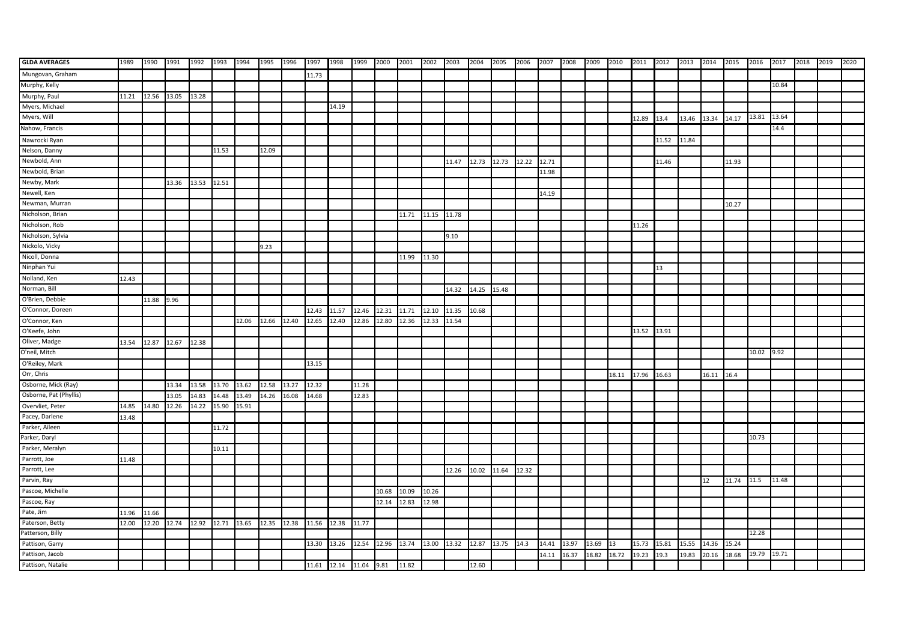| <b>GLDA AVERAGES</b>   | 1989  | 1990        | 1991                                      | 1992        | 1993  | 1994  | 1995  | 1996  | 1997  | 1998                   | 1999  | 2000  | 2001  | 2002        | 2003  | 2004  | 2005  | 2006  | 2007  | 2008  | 2009  | 2010          | 2011 2012 |       | 2013  | 2014       | 2015  | 2016  | 2017  | 2018 | 2019 | 2020 |
|------------------------|-------|-------------|-------------------------------------------|-------------|-------|-------|-------|-------|-------|------------------------|-------|-------|-------|-------------|-------|-------|-------|-------|-------|-------|-------|---------------|-----------|-------|-------|------------|-------|-------|-------|------|------|------|
| Mungovan, Graham       |       |             |                                           |             |       |       |       |       | 11.73 |                        |       |       |       |             |       |       |       |       |       |       |       |               |           |       |       |            |       |       |       |      |      |      |
| Murphy, Kelly          |       |             |                                           |             |       |       |       |       |       |                        |       |       |       |             |       |       |       |       |       |       |       |               |           |       |       |            |       |       | 10.84 |      |      |      |
| Murphy, Paul           | 11.21 | 12.56 13.05 |                                           | 13.28       |       |       |       |       |       |                        |       |       |       |             |       |       |       |       |       |       |       |               |           |       |       |            |       |       |       |      |      |      |
| Myers, Michael         |       |             |                                           |             |       |       |       |       |       | 14.19                  |       |       |       |             |       |       |       |       |       |       |       |               |           |       |       |            |       |       |       |      |      |      |
| Myers, Will            |       |             |                                           |             |       |       |       |       |       |                        |       |       |       |             |       |       |       |       |       |       |       |               | 12.89     | 13.4  | 13.46 | 13.34      | 14.17 | 13.81 | 13.64 |      |      |      |
| Nahow, Francis         |       |             |                                           |             |       |       |       |       |       |                        |       |       |       |             |       |       |       |       |       |       |       |               |           |       |       |            |       |       | 14.4  |      |      |      |
| Nawrocki Ryan          |       |             |                                           |             |       |       |       |       |       |                        |       |       |       |             |       |       |       |       |       |       |       |               |           | 11.52 | 11.84 |            |       |       |       |      |      |      |
| Nelson, Danny          |       |             |                                           |             | 11.53 |       | 12.09 |       |       |                        |       |       |       |             |       |       |       |       |       |       |       |               |           |       |       |            |       |       |       |      |      |      |
| Newbold, Ann           |       |             |                                           |             |       |       |       |       |       |                        |       |       |       |             | 11.47 | 12.73 | 12.73 | 12.22 | 12.71 |       |       |               |           | 11.46 |       |            | 11.93 |       |       |      |      |      |
| Newbold, Brian         |       |             |                                           |             |       |       |       |       |       |                        |       |       |       |             |       |       |       |       | 11.98 |       |       |               |           |       |       |            |       |       |       |      |      |      |
| Newby, Mark            |       |             | 13.36                                     | 13.53 12.51 |       |       |       |       |       |                        |       |       |       |             |       |       |       |       |       |       |       |               |           |       |       |            |       |       |       |      |      |      |
| Newell, Ken            |       |             |                                           |             |       |       |       |       |       |                        |       |       |       |             |       |       |       |       | 14.19 |       |       |               |           |       |       |            |       |       |       |      |      |      |
| Newman, Murran         |       |             |                                           |             |       |       |       |       |       |                        |       |       |       |             |       |       |       |       |       |       |       |               |           |       |       |            | 10.27 |       |       |      |      |      |
| Nicholson, Brian       |       |             |                                           |             |       |       |       |       |       |                        |       |       | 11.71 | 11.15       | 11.78 |       |       |       |       |       |       |               |           |       |       |            |       |       |       |      |      |      |
| Nicholson, Rob         |       |             |                                           |             |       |       |       |       |       |                        |       |       |       |             |       |       |       |       |       |       |       |               | 11.26     |       |       |            |       |       |       |      |      |      |
| Nicholson, Sylvia      |       |             |                                           |             |       |       |       |       |       |                        |       |       |       |             | 9.10  |       |       |       |       |       |       |               |           |       |       |            |       |       |       |      |      |      |
| Nickolo, Vicky         |       |             |                                           |             |       |       | 9.23  |       |       |                        |       |       |       |             |       |       |       |       |       |       |       |               |           |       |       |            |       |       |       |      |      |      |
| Nicoll, Donna          |       |             |                                           |             |       |       |       |       |       |                        |       |       | 11.99 | 11.30       |       |       |       |       |       |       |       |               |           |       |       |            |       |       |       |      |      |      |
| Ninphan Yui            |       |             |                                           |             |       |       |       |       |       |                        |       |       |       |             |       |       |       |       |       |       |       |               |           | 13    |       |            |       |       |       |      |      |      |
| Nolland, Ken           | 12.43 |             |                                           |             |       |       |       |       |       |                        |       |       |       |             |       |       |       |       |       |       |       |               |           |       |       |            |       |       |       |      |      |      |
| Norman, Bill           |       |             |                                           |             |       |       |       |       |       |                        |       |       |       |             | 14.32 | 14.25 | 15.48 |       |       |       |       |               |           |       |       |            |       |       |       |      |      |      |
| O'Brien, Debbie        |       | 11.88       | 9.96                                      |             |       |       |       |       |       |                        |       |       |       |             |       |       |       |       |       |       |       |               |           |       |       |            |       |       |       |      |      |      |
| O'Connor, Doreen       |       |             |                                           |             |       |       |       |       | 12.43 | 11.57                  | 12.46 | 12.31 | 11.71 | 12.10       | 11.35 | 10.68 |       |       |       |       |       |               |           |       |       |            |       |       |       |      |      |      |
| O'Connor, Ken          |       |             |                                           |             |       | 12.06 | 12.66 | 12.40 | 12.65 | 12.40                  | 12.86 | 12.80 | 12.36 | 12.33       | 11.54 |       |       |       |       |       |       |               |           |       |       |            |       |       |       |      |      |      |
| O'Keefe, John          |       |             |                                           |             |       |       |       |       |       |                        |       |       |       |             |       |       |       |       |       |       |       |               | 13.52     | 13.91 |       |            |       |       |       |      |      |      |
| Oliver, Madge          | 13.54 | 12.87 12.67 |                                           | 12.38       |       |       |       |       |       |                        |       |       |       |             |       |       |       |       |       |       |       |               |           |       |       |            |       |       |       |      |      |      |
| O'neil, Mitch          |       |             |                                           |             |       |       |       |       |       |                        |       |       |       |             |       |       |       |       |       |       |       |               |           |       |       |            |       | 10.02 | 9.92  |      |      |      |
| O'Reiley, Mark         |       |             |                                           |             |       |       |       |       | 13.15 |                        |       |       |       |             |       |       |       |       |       |       |       |               |           |       |       |            |       |       |       |      |      |      |
| Orr, Chris             |       |             |                                           |             |       |       |       |       |       |                        |       |       |       |             |       |       |       |       |       |       |       | 18.11         | 17.96     | 16.63 |       | 16.11 16.4 |       |       |       |      |      |      |
| Osborne, Mick (Ray)    |       |             | 13.34                                     | 13.58       | 13.70 | 13.62 | 12.58 | 13.27 | 12.32 |                        | 11.28 |       |       |             |       |       |       |       |       |       |       |               |           |       |       |            |       |       |       |      |      |      |
| Osborne, Pat (Phyllis) |       |             | 13.05                                     | 14.83       | 14.48 | 13.49 | 14.26 | 16.08 | 14.68 |                        | 12.83 |       |       |             |       |       |       |       |       |       |       |               |           |       |       |            |       |       |       |      |      |      |
| Overvliet, Peter       | 14.85 | 14.80       | 12.26                                     | 14.22       | 15.90 | 15.91 |       |       |       |                        |       |       |       |             |       |       |       |       |       |       |       |               |           |       |       |            |       |       |       |      |      |      |
| Pacey, Darlene         | 13.48 |             |                                           |             |       |       |       |       |       |                        |       |       |       |             |       |       |       |       |       |       |       |               |           |       |       |            |       |       |       |      |      |      |
| Parker, Aileen         |       |             |                                           |             | 11.72 |       |       |       |       |                        |       |       |       |             |       |       |       |       |       |       |       |               |           |       |       |            |       |       |       |      |      |      |
| Parker, Daryl          |       |             |                                           |             |       |       |       |       |       |                        |       |       |       |             |       |       |       |       |       |       |       |               |           |       |       |            |       | 10.73 |       |      |      |      |
| Parker, Meralyn        |       |             |                                           |             | 10.11 |       |       |       |       |                        |       |       |       |             |       |       |       |       |       |       |       |               |           |       |       |            |       |       |       |      |      |      |
| Parrott, Joe           | 11.48 |             |                                           |             |       |       |       |       |       |                        |       |       |       |             |       |       |       |       |       |       |       |               |           |       |       |            |       |       |       |      |      |      |
| Parrott, Lee           |       |             |                                           |             |       |       |       |       |       |                        |       |       |       |             | 12.26 | 10.02 | 11.64 | 12.32 |       |       |       |               |           |       |       |            |       |       |       |      |      |      |
| Parvin, Ray            |       |             |                                           |             |       |       |       |       |       |                        |       |       |       |             |       |       |       |       |       |       |       |               |           |       |       | 12         | 11.74 | 11.5  | 11.48 |      |      |      |
| Pascoe, Michelle       |       |             |                                           |             |       |       |       |       |       |                        |       | 10.68 | 10.09 | 10.26       |       |       |       |       |       |       |       |               |           |       |       |            |       |       |       |      |      |      |
| Pascoe, Ray            |       |             |                                           |             |       |       |       |       |       |                        |       | 12.14 | 12.83 | 12.98       |       |       |       |       |       |       |       |               |           |       |       |            |       |       |       |      |      |      |
| Pate, Jim              | 11.96 | 11.66       |                                           |             |       |       |       |       |       |                        |       |       |       |             |       |       |       |       |       |       |       |               |           |       |       |            |       |       |       |      |      |      |
| Paterson, Betty        | 12.00 |             | 12.20 12.74 12.92 12.71 13.65 12.35 12.38 |             |       |       |       |       |       | 11.56 12.38 11.77      |       |       |       |             |       |       |       |       |       |       |       |               |           |       |       |            |       |       |       |      |      |      |
| Patterson, Billy       |       |             |                                           |             |       |       |       |       |       |                        |       |       |       |             |       |       |       |       |       |       |       |               |           |       |       |            |       | 12.28 |       |      |      |      |
| Pattison, Garry        |       |             |                                           |             |       |       |       |       | 13.30 | 13.26                  | 12.54 | 12.96 | 13.74 | 13.00 13.32 |       | 12.87 | 13.75 | 14.3  | 14.41 | 13.97 | 13.69 | $\mathbf{13}$ | 15.73     | 15.81 | 15.55 | 14.36      | 15.24 |       |       |      |      |      |
| Pattison, Jacob        |       |             |                                           |             |       |       |       |       |       |                        |       |       |       |             |       |       |       |       | 14.11 | 16.37 | 18.82 | 18.72         | 19.23     | 19.3  | 19.83 | 20.16      | 18.68 | 19.79 | 19.71 |      |      |      |
| Pattison, Natalie      |       |             |                                           |             |       |       |       |       |       | 11.61 12.14 11.04 9.81 |       |       | 11.82 |             |       | 12.60 |       |       |       |       |       |               |           |       |       |            |       |       |       |      |      |      |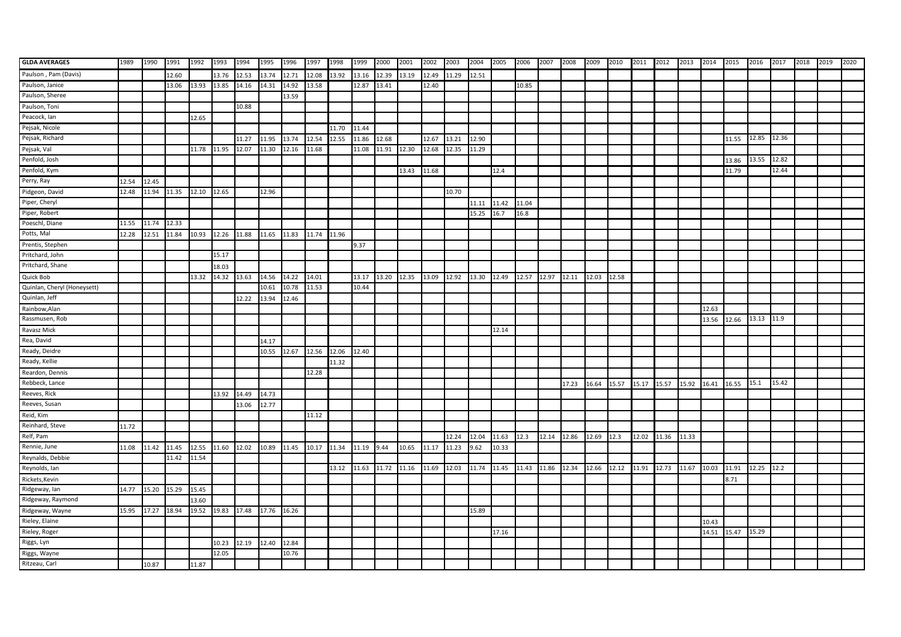| <b>GLDA AVERAGES</b>        | 1989  | 1990  | 1991              | 1992  | 1993              | 1994  | 1995        | 1996  | 1997  | 1998  | 1999  | 2000        | 2001                    | 2002        | 2003  | 2004        | 2005  | 2006  | 2007        | 2008                    | 2009  | 2010                                      | 2011        | 2012  | 2013  | 2014  | 2015  | 2016        | 2017  | 2018 | 2019 | 2020 |
|-----------------------------|-------|-------|-------------------|-------|-------------------|-------|-------------|-------|-------|-------|-------|-------------|-------------------------|-------------|-------|-------------|-------|-------|-------------|-------------------------|-------|-------------------------------------------|-------------|-------|-------|-------|-------|-------------|-------|------|------|------|
| Paulson, Pam (Davis)        |       |       | 12.60             |       | 13.76             | 12.53 | 13.74       | 12.71 | 12.08 | 13.92 | 13.16 | 12.39       | 13.19                   | 12.49       | 11.29 | 12.51       |       |       |             |                         |       |                                           |             |       |       |       |       |             |       |      |      |      |
| Paulson, Janice             |       |       | 13.06             | 13.93 | 13.85             | 14.16 | 14.31       | 14.92 | 13.58 |       | 12.87 | 13.41       |                         | 12.40       |       |             |       | 10.85 |             |                         |       |                                           |             |       |       |       |       |             |       |      |      |      |
| Paulson, Sheree             |       |       |                   |       |                   |       |             | 13.59 |       |       |       |             |                         |             |       |             |       |       |             |                         |       |                                           |             |       |       |       |       |             |       |      |      |      |
| Paulson, Toni               |       |       |                   |       |                   | 10.88 |             |       |       |       |       |             |                         |             |       |             |       |       |             |                         |       |                                           |             |       |       |       |       |             |       |      |      |      |
| Peacock, Ian                |       |       |                   | 12.65 |                   |       |             |       |       |       |       |             |                         |             |       |             |       |       |             |                         |       |                                           |             |       |       |       |       |             |       |      |      |      |
| Pejsak, Nicole              |       |       |                   |       |                   |       |             |       |       | 11.70 | 11.44 |             |                         |             |       |             |       |       |             |                         |       |                                           |             |       |       |       |       |             |       |      |      |      |
| Pejsak, Richard             |       |       |                   |       |                   | 11.27 | 11.95       | 13.74 | 12.54 | 12.55 | 11.86 | 12.68       |                         | 12.67       | 13.21 | 12.90       |       |       |             |                         |       |                                           |             |       |       |       | 11.55 | 12.85 12.36 |       |      |      |      |
| Pejsak, Val                 |       |       |                   | 11.78 | 11.95             | 12.07 | 11.30       | 12.16 | 11.68 |       | 11.08 | 11.91       | 12.30                   | 12.68       | 12.35 | 11.29       |       |       |             |                         |       |                                           |             |       |       |       |       |             |       |      |      |      |
| Penfold, Josh               |       |       |                   |       |                   |       |             |       |       |       |       |             |                         |             |       |             |       |       |             |                         |       |                                           |             |       |       |       | 13.86 | 13.55       | 12.82 |      |      |      |
| Penfold, Kym                |       |       |                   |       |                   |       |             |       |       |       |       |             | 13.43                   | 11.68       |       |             | 12.4  |       |             |                         |       |                                           |             |       |       |       | 11.79 |             | 12.44 |      |      |      |
| Perry, Ray                  | 12.54 | 12.45 |                   |       |                   |       |             |       |       |       |       |             |                         |             |       |             |       |       |             |                         |       |                                           |             |       |       |       |       |             |       |      |      |      |
| Pidgeon, David              | 12.48 |       | 11.94 11.35 12.10 |       | 12.65             |       | 12.96       |       |       |       |       |             |                         |             | 10.70 |             |       |       |             |                         |       |                                           |             |       |       |       |       |             |       |      |      |      |
| Piper, Cheryl               |       |       |                   |       |                   |       |             |       |       |       |       |             |                         |             |       | 11.11       | 11.42 | 11.04 |             |                         |       |                                           |             |       |       |       |       |             |       |      |      |      |
| Piper, Robert               |       |       |                   |       |                   |       |             |       |       |       |       |             |                         |             |       | 15.25       | 16.7  | 16.8  |             |                         |       |                                           |             |       |       |       |       |             |       |      |      |      |
| Poeschl, Diane              | 11.55 | 11.74 | 12.33             |       |                   |       |             |       |       |       |       |             |                         |             |       |             |       |       |             |                         |       |                                           |             |       |       |       |       |             |       |      |      |      |
| Potts, Mal                  | 12.28 | 12.51 | 11.84             |       | 10.93 12.26 11.88 |       | 11.65 11.83 |       | 11.74 | 11.96 |       |             |                         |             |       |             |       |       |             |                         |       |                                           |             |       |       |       |       |             |       |      |      |      |
| Prentis, Stephen            |       |       |                   |       |                   |       |             |       |       |       | 9.37  |             |                         |             |       |             |       |       |             |                         |       |                                           |             |       |       |       |       |             |       |      |      |      |
| Pritchard, John             |       |       |                   |       | 15.17             |       |             |       |       |       |       |             |                         |             |       |             |       |       |             |                         |       |                                           |             |       |       |       |       |             |       |      |      |      |
| Pritchard, Shane            |       |       |                   |       | 18.03             |       |             |       |       |       |       |             |                         |             |       |             |       |       |             |                         |       |                                           |             |       |       |       |       |             |       |      |      |      |
| Quick Bob                   |       |       |                   | 13.32 | 14.32 13.63       |       | 14.56       | 14.22 | 14.01 |       | 13.17 |             | 13.20 12.35 13.09 12.92 |             |       | 13.30       | 12.49 |       |             | 12.57 12.97 12.11 12.03 |       | 12.58                                     |             |       |       |       |       |             |       |      |      |      |
| Quinlan, Cheryl (Honeysett) |       |       |                   |       |                   |       | 10.61       | 10.78 | 11.53 |       | 10.44 |             |                         |             |       |             |       |       |             |                         |       |                                           |             |       |       |       |       |             |       |      |      |      |
| Quinlan, Jeff               |       |       |                   |       |                   | 12.22 | 13.94       | 12.46 |       |       |       |             |                         |             |       |             |       |       |             |                         |       |                                           |             |       |       |       |       |             |       |      |      |      |
| Rainbow, Alan               |       |       |                   |       |                   |       |             |       |       |       |       |             |                         |             |       |             |       |       |             |                         |       |                                           |             |       |       | 12.63 |       |             |       |      |      |      |
| Rassmusen, Rob              |       |       |                   |       |                   |       |             |       |       |       |       |             |                         |             |       |             |       |       |             |                         |       |                                           |             |       |       | 13.56 | 12.66 | 13.13 11.9  |       |      |      |      |
| Ravasz Mick                 |       |       |                   |       |                   |       |             |       |       |       |       |             |                         |             |       |             | 12.14 |       |             |                         |       |                                           |             |       |       |       |       |             |       |      |      |      |
| Rea, David                  |       |       |                   |       |                   |       | 14.17       |       |       |       |       |             |                         |             |       |             |       |       |             |                         |       |                                           |             |       |       |       |       |             |       |      |      |      |
| Ready, Deidre               |       |       |                   |       |                   |       | 10.55       | 12.67 | 12.56 | 12.06 | 12.40 |             |                         |             |       |             |       |       |             |                         |       |                                           |             |       |       |       |       |             |       |      |      |      |
| Ready, Kellie               |       |       |                   |       |                   |       |             |       |       | 11.32 |       |             |                         |             |       |             |       |       |             |                         |       |                                           |             |       |       |       |       |             |       |      |      |      |
| Reardon, Dennis             |       |       |                   |       |                   |       |             |       | 12.28 |       |       |             |                         |             |       |             |       |       |             |                         |       |                                           |             |       |       |       |       |             |       |      |      |      |
| Rebbeck, Lance              |       |       |                   |       |                   |       |             |       |       |       |       |             |                         |             |       |             |       |       |             | 17.23                   | 16.64 | 15.57                                     | 15.17 15.57 |       | 15.92 | 16.41 | 16.55 | 15.1        | 15.42 |      |      |      |
| Reeves, Rick                |       |       |                   |       | 13.92             | 14.49 | 14.73       |       |       |       |       |             |                         |             |       |             |       |       |             |                         |       |                                           |             |       |       |       |       |             |       |      |      |      |
| Reeves, Susan               |       |       |                   |       |                   | 13.06 | 12.77       |       |       |       |       |             |                         |             |       |             |       |       |             |                         |       |                                           |             |       |       |       |       |             |       |      |      |      |
| Reid, Kim                   |       |       |                   |       |                   |       |             |       | 11.12 |       |       |             |                         |             |       |             |       |       |             |                         |       |                                           |             |       |       |       |       |             |       |      |      |      |
| Reinhard, Steve             | 11.72 |       |                   |       |                   |       |             |       |       |       |       |             |                         |             |       |             |       |       |             |                         |       |                                           |             |       |       |       |       |             |       |      |      |      |
| Relf, Pam                   |       |       |                   |       |                   |       |             |       |       |       |       |             |                         |             | 12.24 | 12.04       | 11.63 | 12.3  | 12.14 12.86 |                         | 12.69 | 12.3                                      | 12.02       | 11.36 | 11.33 |       |       |             |       |      |      |      |
| Rennie, June                | 11.08 | 11.42 | 11.45             | 12.55 | 11.60             | 12.02 | 10.89       | 11.45 | 10.17 | 11.34 | 11.19 | 9.44        | 10.65                   | 11.17       | 11.23 | 9.62        | 10.33 |       |             |                         |       |                                           |             |       |       |       |       |             |       |      |      |      |
| Reynalds, Debbie            |       |       | 11.42             | 11.54 |                   |       |             |       |       |       |       |             |                         |             |       |             |       |       |             |                         |       |                                           |             |       |       |       |       |             |       |      |      |      |
| Reynolds, Ian               |       |       |                   |       |                   |       |             |       |       | 13.12 | 11.63 | 11.72 11.16 |                         | 11.69 12.03 |       | 11.74 11.45 |       |       |             |                         |       | 11.43 11.86 12.34 12.66 12.12 11.91 12.73 |             |       | 11.67 | 10.03 | 11.91 | 12.25 12.2  |       |      |      |      |
| Rickets, Kevin              |       |       |                   |       |                   |       |             |       |       |       |       |             |                         |             |       |             |       |       |             |                         |       |                                           |             |       |       |       | 8.71  |             |       |      |      |      |
| Ridgeway, lan               | 14.77 | 15.20 | 15.29             | 15.45 |                   |       |             |       |       |       |       |             |                         |             |       |             |       |       |             |                         |       |                                           |             |       |       |       |       |             |       |      |      |      |
| Ridgeway, Raymond           |       |       |                   | 13.60 |                   |       |             |       |       |       |       |             |                         |             |       |             |       |       |             |                         |       |                                           |             |       |       |       |       |             |       |      |      |      |
| Ridgeway, Wayne             | 15.95 | 17.27 | 18.94             |       | 19.52 19.83 17.48 |       | 17.76       | 16.26 |       |       |       |             |                         |             |       | 15.89       |       |       |             |                         |       |                                           |             |       |       |       |       |             |       |      |      |      |
| Rieley, Elaine              |       |       |                   |       |                   |       |             |       |       |       |       |             |                         |             |       |             |       |       |             |                         |       |                                           |             |       |       | 10.43 |       |             |       |      |      |      |
| Rieley, Roger               |       |       |                   |       |                   |       |             |       |       |       |       |             |                         |             |       |             | 17.16 |       |             |                         |       |                                           |             |       |       | 14.51 | 15.47 | 15.29       |       |      |      |      |
| Riggs, Lyn                  |       |       |                   |       | 10.23             | 12.19 | 12.40       | 12.84 |       |       |       |             |                         |             |       |             |       |       |             |                         |       |                                           |             |       |       |       |       |             |       |      |      |      |
| Riggs, Wayne                |       |       |                   |       | 12.05             |       |             | 10.76 |       |       |       |             |                         |             |       |             |       |       |             |                         |       |                                           |             |       |       |       |       |             |       |      |      |      |
| Ritzeau, Carl               |       | 10.87 |                   | 11.87 |                   |       |             |       |       |       |       |             |                         |             |       |             |       |       |             |                         |       |                                           |             |       |       |       |       |             |       |      |      |      |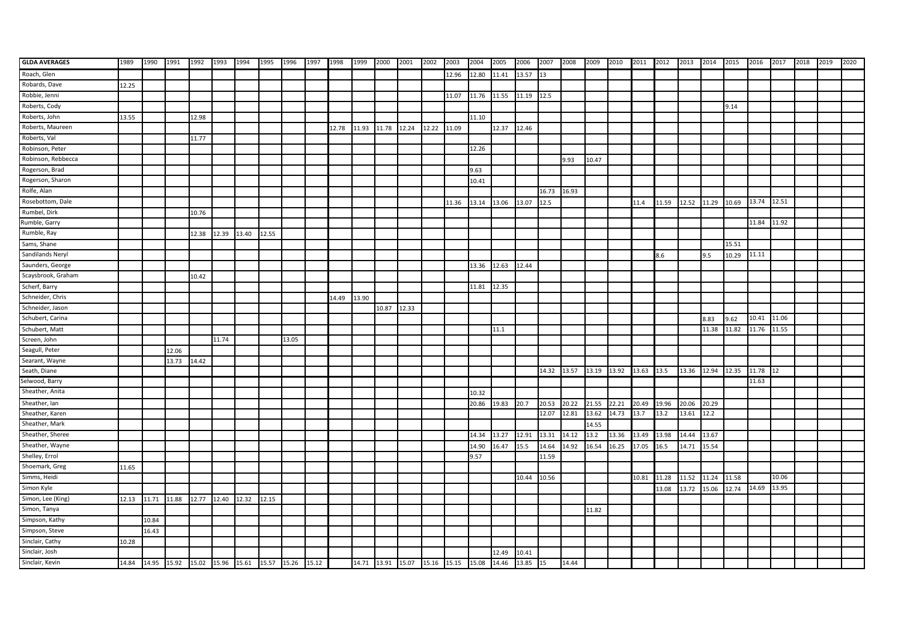| <b>GLDA AVERAGES</b> | 1989  | 1990  | 1991  | 1992  | 1993  | 1994                                                          | 1995  | 1996  | 1997 | 1998  | 1999  | 2000  | 2001  | 2002  | 2003                                               | 2004  | 2005                   | 2006        | 2007        | 2008  | 2009  | 2010                               | 2011 2012 |       | 2013        | 2014  | 2015  | 2016        | 2017  | 2018 | 2019 | 2020 |
|----------------------|-------|-------|-------|-------|-------|---------------------------------------------------------------|-------|-------|------|-------|-------|-------|-------|-------|----------------------------------------------------|-------|------------------------|-------------|-------------|-------|-------|------------------------------------|-----------|-------|-------------|-------|-------|-------------|-------|------|------|------|
| Roach, Glen          |       |       |       |       |       |                                                               |       |       |      |       |       |       |       |       | 12.96                                              | 12.80 | 11.41 13.57 13         |             |             |       |       |                                    |           |       |             |       |       |             |       |      |      |      |
| Robards, Dave        | 12.25 |       |       |       |       |                                                               |       |       |      |       |       |       |       |       |                                                    |       |                        |             |             |       |       |                                    |           |       |             |       |       |             |       |      |      |      |
| Robbie, Jenni        |       |       |       |       |       |                                                               |       |       |      |       |       |       |       |       | 11.07                                              |       | 11.76 11.55 11.19 12.5 |             |             |       |       |                                    |           |       |             |       |       |             |       |      |      |      |
| Roberts, Cody        |       |       |       |       |       |                                                               |       |       |      |       |       |       |       |       |                                                    |       |                        |             |             |       |       |                                    |           |       |             |       | 9.14  |             |       |      |      |      |
| Roberts, John        | 13.55 |       |       | 12.98 |       |                                                               |       |       |      |       |       |       |       |       |                                                    | 11.10 |                        |             |             |       |       |                                    |           |       |             |       |       |             |       |      |      |      |
| Roberts, Maureen     |       |       |       |       |       |                                                               |       |       |      | 12.78 | 11.93 | 11.78 | 12.24 | 12.22 | 11.09                                              |       | 12.37                  | 12.46       |             |       |       |                                    |           |       |             |       |       |             |       |      |      |      |
| Roberts, Val         |       |       |       | 11.77 |       |                                                               |       |       |      |       |       |       |       |       |                                                    |       |                        |             |             |       |       |                                    |           |       |             |       |       |             |       |      |      |      |
| Robinson, Peter      |       |       |       |       |       |                                                               |       |       |      |       |       |       |       |       |                                                    | 12.26 |                        |             |             |       |       |                                    |           |       |             |       |       |             |       |      |      |      |
| Robinson, Rebbecca   |       |       |       |       |       |                                                               |       |       |      |       |       |       |       |       |                                                    |       |                        |             |             | 9.93  | 10.47 |                                    |           |       |             |       |       |             |       |      |      |      |
| Rogerson, Brad       |       |       |       |       |       |                                                               |       |       |      |       |       |       |       |       |                                                    | 9.63  |                        |             |             |       |       |                                    |           |       |             |       |       |             |       |      |      |      |
| Rogerson, Sharon     |       |       |       |       |       |                                                               |       |       |      |       |       |       |       |       |                                                    | 10.41 |                        |             |             |       |       |                                    |           |       |             |       |       |             |       |      |      |      |
| Rolfe, Alan          |       |       |       |       |       |                                                               |       |       |      |       |       |       |       |       |                                                    |       |                        |             | 16.73 16.93 |       |       |                                    |           |       |             |       |       |             |       |      |      |      |
| Rosebottom, Dale     |       |       |       |       |       |                                                               |       |       |      |       |       |       |       |       | 11.36                                              | 13.14 | 13.06                  | 13.07       | 12.5        |       |       |                                    | 11.4      | 11.59 | 12.52       | 11.29 | 10.69 | 13.74       | 12.51 |      |      |      |
| Rumbel, Dirk         |       |       |       | 10.76 |       |                                                               |       |       |      |       |       |       |       |       |                                                    |       |                        |             |             |       |       |                                    |           |       |             |       |       |             |       |      |      |      |
| Rumble, Garry        |       |       |       |       |       |                                                               |       |       |      |       |       |       |       |       |                                                    |       |                        |             |             |       |       |                                    |           |       |             |       |       | 11.84 11.92 |       |      |      |      |
| Rumble, Ray          |       |       |       | 12.38 | 12.39 | 13.40                                                         | 12.55 |       |      |       |       |       |       |       |                                                    |       |                        |             |             |       |       |                                    |           |       |             |       |       |             |       |      |      |      |
| Sams, Shane          |       |       |       |       |       |                                                               |       |       |      |       |       |       |       |       |                                                    |       |                        |             |             |       |       |                                    |           |       |             |       | 15.51 |             |       |      |      |      |
| Sandilands Neryl     |       |       |       |       |       |                                                               |       |       |      |       |       |       |       |       |                                                    |       |                        |             |             |       |       |                                    |           | 8.6   |             | 9.5   | 10.29 | 11.11       |       |      |      |      |
| Saunders, George     |       |       |       |       |       |                                                               |       |       |      |       |       |       |       |       |                                                    | 13.36 | 12.63                  | 12.44       |             |       |       |                                    |           |       |             |       |       |             |       |      |      |      |
| Scaysbrook, Graham   |       |       |       | 10.42 |       |                                                               |       |       |      |       |       |       |       |       |                                                    |       |                        |             |             |       |       |                                    |           |       |             |       |       |             |       |      |      |      |
| Scherf, Barry        |       |       |       |       |       |                                                               |       |       |      |       |       |       |       |       |                                                    | 11.81 | 12.35                  |             |             |       |       |                                    |           |       |             |       |       |             |       |      |      |      |
| Schneider, Chris     |       |       |       |       |       |                                                               |       |       |      | 14.49 | 13.90 |       |       |       |                                                    |       |                        |             |             |       |       |                                    |           |       |             |       |       |             |       |      |      |      |
| Schneider, Jason     |       |       |       |       |       |                                                               |       |       |      |       |       | 10.87 | 12.33 |       |                                                    |       |                        |             |             |       |       |                                    |           |       |             |       |       |             |       |      |      |      |
| Schubert, Carina     |       |       |       |       |       |                                                               |       |       |      |       |       |       |       |       |                                                    |       |                        |             |             |       |       |                                    |           |       |             | 8.83  | 9.62  | 10.41       | 11.06 |      |      |      |
| Schubert, Matt       |       |       |       |       |       |                                                               |       |       |      |       |       |       |       |       |                                                    |       | 11.1                   |             |             |       |       |                                    |           |       |             | 11.38 | 11.82 | 11.76       | 11.55 |      |      |      |
| Screen, John         |       |       |       |       | 11.74 |                                                               |       | 13.05 |      |       |       |       |       |       |                                                    |       |                        |             |             |       |       |                                    |           |       |             |       |       |             |       |      |      |      |
| Seagull, Peter       |       |       | 12.06 |       |       |                                                               |       |       |      |       |       |       |       |       |                                                    |       |                        |             |             |       |       |                                    |           |       |             |       |       |             |       |      |      |      |
| Searant, Wayne       |       |       | 13.73 | 14.42 |       |                                                               |       |       |      |       |       |       |       |       |                                                    |       |                        |             |             |       |       |                                    |           |       |             |       |       |             |       |      |      |      |
| Seath, Diane         |       |       |       |       |       |                                                               |       |       |      |       |       |       |       |       |                                                    |       |                        |             |             |       |       | 14.32 13.57 13.19 13.92 13.63 13.5 |           |       | 13.36 12.94 |       | 12.35 | 11.78 12    |       |      |      |      |
| Selwood, Barry       |       |       |       |       |       |                                                               |       |       |      |       |       |       |       |       |                                                    |       |                        |             |             |       |       |                                    |           |       |             |       |       | 11.63       |       |      |      |      |
| Sheather, Anita      |       |       |       |       |       |                                                               |       |       |      |       |       |       |       |       |                                                    | 10.32 |                        |             |             |       |       |                                    |           |       |             |       |       |             |       |      |      |      |
| Sheather, lan        |       |       |       |       |       |                                                               |       |       |      |       |       |       |       |       |                                                    | 20.86 | 19.83                  | 20.7        | 20.53       | 20.22 | 21.55 | 22.21                              | 20.49     | 19.96 | 20.06       | 20.29 |       |             |       |      |      |      |
| Sheather, Karen      |       |       |       |       |       |                                                               |       |       |      |       |       |       |       |       |                                                    |       |                        |             | 12.07       | 12.81 | 13.62 | 14.73                              | 13.7      | 13.2  | 13.61       | 12.2  |       |             |       |      |      |      |
| Sheather, Mark       |       |       |       |       |       |                                                               |       |       |      |       |       |       |       |       |                                                    |       |                        |             |             |       | 14.55 |                                    |           |       |             |       |       |             |       |      |      |      |
| Sheather, Sheree     |       |       |       |       |       |                                                               |       |       |      |       |       |       |       |       |                                                    | 14.34 | 13.27                  | 12.91       | 13.31       | 14.12 | 13.2  | 13.36                              | 13.49     | 13.98 | 14.44       | 13.67 |       |             |       |      |      |      |
| Sheather, Wayne      |       |       |       |       |       |                                                               |       |       |      |       |       |       |       |       |                                                    | 14.90 | 16.47                  | 15.5        | 14.64       | 14.92 | 16.54 | 16.25                              | 17.05     | 16.5  | 14.71       | 15.54 |       |             |       |      |      |      |
| Shelley, Errol       |       |       |       |       |       |                                                               |       |       |      |       |       |       |       |       |                                                    | 9.57  |                        |             | 11.59       |       |       |                                    |           |       |             |       |       |             |       |      |      |      |
| Shoemark, Greg       | 11.65 |       |       |       |       |                                                               |       |       |      |       |       |       |       |       |                                                    |       |                        |             |             |       |       |                                    |           |       |             |       |       |             |       |      |      |      |
| Simms, Heidi         |       |       |       |       |       |                                                               |       |       |      |       |       |       |       |       |                                                    |       |                        | 10.44 10.56 |             |       |       |                                    | 10.81     | 11.28 | 11.52       | 11.24 | 11.58 |             | 10.06 |      |      |      |
| Simon Kyle           |       |       |       |       |       |                                                               |       |       |      |       |       |       |       |       |                                                    |       |                        |             |             |       |       |                                    |           | 13.08 | 13.72       | 15.06 | 12.74 | 14.69       | 13.95 |      |      |      |
| Simon, Lee (King)    | 12.13 | 11.71 | 11.88 | 12.77 | 12.40 | 12.32                                                         | 12.15 |       |      |       |       |       |       |       |                                                    |       |                        |             |             |       |       |                                    |           |       |             |       |       |             |       |      |      |      |
| Simon, Tanya         |       |       |       |       |       |                                                               |       |       |      |       |       |       |       |       |                                                    |       |                        |             |             |       | 11.82 |                                    |           |       |             |       |       |             |       |      |      |      |
| Simpson, Kathy       |       | 10.84 |       |       |       |                                                               |       |       |      |       |       |       |       |       |                                                    |       |                        |             |             |       |       |                                    |           |       |             |       |       |             |       |      |      |      |
| Simpson, Steve       |       | 16.43 |       |       |       |                                                               |       |       |      |       |       |       |       |       |                                                    |       |                        |             |             |       |       |                                    |           |       |             |       |       |             |       |      |      |      |
| Sinclair, Cathy      | 10.28 |       |       |       |       |                                                               |       |       |      |       |       |       |       |       |                                                    |       |                        |             |             |       |       |                                    |           |       |             |       |       |             |       |      |      |      |
| Sinclair, Josh       |       |       |       |       |       |                                                               |       |       |      |       |       |       |       |       |                                                    |       | 12.49                  | 10.41       |             |       |       |                                    |           |       |             |       |       |             |       |      |      |      |
| Sinclair, Kevin      |       |       |       |       |       | 14.84  14.95  15.92  15.02  15.96  15.61  15.57  15.26  15.12 |       |       |      |       |       |       |       |       | 14.71 13.91 15.07 15.16 15.15 15.08 14.46 13.85 15 |       |                        |             |             | 14.44 |       |                                    |           |       |             |       |       |             |       |      |      |      |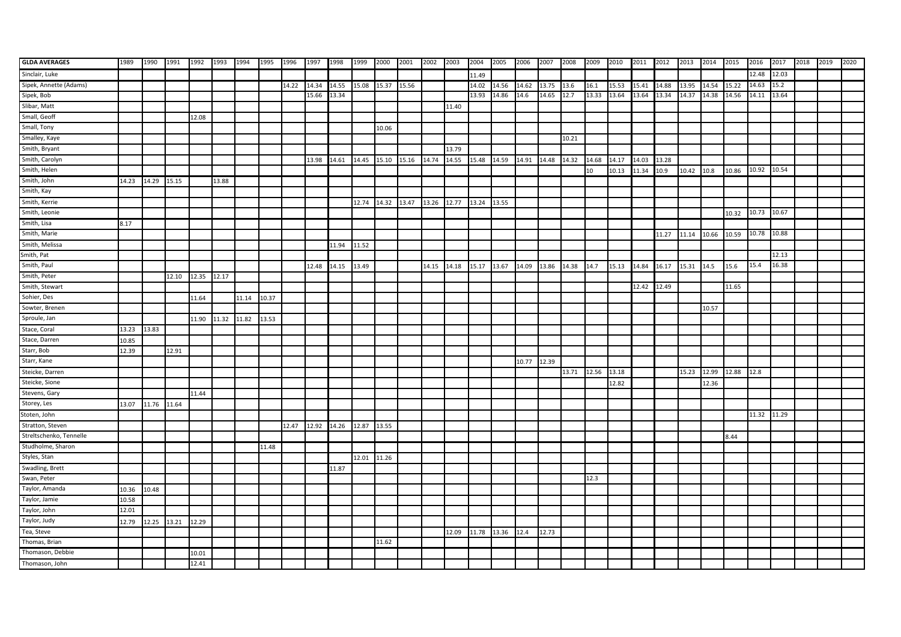| <b>GLDA AVERAGES</b>    | 1989  | 1990        | 1991              | 1992 1993         |       | 1994  | 1995  | 1996  | 1997  | 1998  | 1999        | 2000  | 2001                    | 2002        | 2003  | 2004  | 2005             | 2006        | 2007                | 2008              | 2009  | 2010  | 2011 2012 |       | 2013        | 2014  | 2015                   | 2016        | 2017  | 2018 | 2019 | 2020 |
|-------------------------|-------|-------------|-------------------|-------------------|-------|-------|-------|-------|-------|-------|-------------|-------|-------------------------|-------------|-------|-------|------------------|-------------|---------------------|-------------------|-------|-------|-----------|-------|-------------|-------|------------------------|-------------|-------|------|------|------|
| Sinclair, Luke          |       |             |                   |                   |       |       |       |       |       |       |             |       |                         |             |       | 11.49 |                  |             |                     |                   |       |       |           |       |             |       |                        | 12.48       | 12.03 |      |      |      |
| Sipek, Annette (Adams)  |       |             |                   |                   |       |       |       | 14.22 | 14.34 | 14.55 | 15.08       | 15.37 | 15.56                   |             |       | 14.02 | 14.56            | 14.62       | 13.75 13.6          |                   | 16.1  | 15.53 | 15.41     | 14.88 | 13.95       | 14.54 | 15.22                  | 14.63       | 15.2  |      |      |      |
| Sipek, Bob              |       |             |                   |                   |       |       |       |       | 15.66 | 13.34 |             |       |                         |             |       | 13.93 | 14.86            | 14.6        | 14.65 12.7          |                   | 13.33 | 13.64 | 13.64     | 13.34 | 14.37       | 14.38 | 14.56                  | 14.11       | 13.64 |      |      |      |
| Slibar, Matt            |       |             |                   |                   |       |       |       |       |       |       |             |       |                         |             | 11.40 |       |                  |             |                     |                   |       |       |           |       |             |       |                        |             |       |      |      |      |
| Small, Geoff            |       |             |                   | 12.08             |       |       |       |       |       |       |             |       |                         |             |       |       |                  |             |                     |                   |       |       |           |       |             |       |                        |             |       |      |      |      |
| Small, Tony             |       |             |                   |                   |       |       |       |       |       |       |             | 10.06 |                         |             |       |       |                  |             |                     |                   |       |       |           |       |             |       |                        |             |       |      |      |      |
| Smalley, Kaye           |       |             |                   |                   |       |       |       |       |       |       |             |       |                         |             |       |       |                  |             |                     | 10.21             |       |       |           |       |             |       |                        |             |       |      |      |      |
| Smith, Bryant           |       |             |                   |                   |       |       |       |       |       |       |             |       |                         |             | 13.79 |       |                  |             |                     |                   |       |       |           |       |             |       |                        |             |       |      |      |      |
| Smith, Carolyn          |       |             |                   |                   |       |       |       |       | 13.98 | 14.61 |             |       | 14.45 15.10 15.16 14.74 |             | 14.55 | 15.48 | 14.59            |             | 14.91  14.48  14.32 |                   | 14.68 | 14.17 | 14.03     | 13.28 |             |       |                        |             |       |      |      |      |
| Smith, Helen            |       |             |                   |                   |       |       |       |       |       |       |             |       |                         |             |       |       |                  |             |                     |                   | 10    | 10.13 | 11.34     | 10.9  | 10.42       | 10.8  | 10.86                  | 10.92       | 10.54 |      |      |      |
| Smith, John             | 14.23 | 14.29 15.15 |                   |                   | 13.88 |       |       |       |       |       |             |       |                         |             |       |       |                  |             |                     |                   |       |       |           |       |             |       |                        |             |       |      |      |      |
| Smith, Kay              |       |             |                   |                   |       |       |       |       |       |       |             |       |                         |             |       |       |                  |             |                     |                   |       |       |           |       |             |       |                        |             |       |      |      |      |
| Smith, Kerrie           |       |             |                   |                   |       |       |       |       |       |       | 12.74 14.32 |       | 13.47                   | 13.26 12.77 |       | 13.24 | 13.55            |             |                     |                   |       |       |           |       |             |       |                        |             |       |      |      |      |
| Smith, Leonie           |       |             |                   |                   |       |       |       |       |       |       |             |       |                         |             |       |       |                  |             |                     |                   |       |       |           |       |             |       | 10.32                  | 10.73 10.67 |       |      |      |      |
| Smith, Lisa             | 8.17  |             |                   |                   |       |       |       |       |       |       |             |       |                         |             |       |       |                  |             |                     |                   |       |       |           |       |             |       |                        |             |       |      |      |      |
| Smith, Marie            |       |             |                   |                   |       |       |       |       |       |       |             |       |                         |             |       |       |                  |             |                     |                   |       |       |           | 11.27 | 11.14 10.66 |       | 10.59                  | 10.78 10.88 |       |      |      |      |
| Smith, Melissa          |       |             |                   |                   |       |       |       |       |       | 11.94 | 11.52       |       |                         |             |       |       |                  |             |                     |                   |       |       |           |       |             |       |                        |             |       |      |      |      |
| Smith, Pat              |       |             |                   |                   |       |       |       |       |       |       |             |       |                         |             |       |       |                  |             |                     |                   |       |       |           |       |             |       |                        |             | 12.13 |      |      |      |
| Smith, Paul             |       |             |                   |                   |       |       |       |       | 12.48 | 14.15 | 13.49       |       |                         | 14.15       | 14.18 | 15.17 | 13.67            |             | 14.09 13.86 14.38   |                   | 14.7  | 15.13 | 14.84     | 16.17 | 15.31       | 14.5  | 15.6                   | 15.4        | 16.38 |      |      |      |
| Smith, Peter            |       |             |                   | 12.10 12.35 12.17 |       |       |       |       |       |       |             |       |                         |             |       |       |                  |             |                     |                   |       |       |           |       |             |       |                        |             |       |      |      |      |
| Smith, Stewart          |       |             |                   |                   |       |       |       |       |       |       |             |       |                         |             |       |       |                  |             |                     |                   |       |       | 12.42     | 12.49 |             |       | 11.65                  |             |       |      |      |      |
| Sohier, Des             |       |             |                   | 11.64             |       | 11.14 | 10.37 |       |       |       |             |       |                         |             |       |       |                  |             |                     |                   |       |       |           |       |             |       |                        |             |       |      |      |      |
| Sowter, Brenen          |       |             |                   |                   |       |       |       |       |       |       |             |       |                         |             |       |       |                  |             |                     |                   |       |       |           |       |             | 10.57 |                        |             |       |      |      |      |
| Sproule, Jan            |       |             |                   | 11.90             | 11.32 | 11.82 | 13.53 |       |       |       |             |       |                         |             |       |       |                  |             |                     |                   |       |       |           |       |             |       |                        |             |       |      |      |      |
| Stace, Coral            | 13.23 | 13.83       |                   |                   |       |       |       |       |       |       |             |       |                         |             |       |       |                  |             |                     |                   |       |       |           |       |             |       |                        |             |       |      |      |      |
| Stace, Darren           | 10.85 |             |                   |                   |       |       |       |       |       |       |             |       |                         |             |       |       |                  |             |                     |                   |       |       |           |       |             |       |                        |             |       |      |      |      |
| Starr, Bob              | 12.39 |             | 12.91             |                   |       |       |       |       |       |       |             |       |                         |             |       |       |                  |             |                     |                   |       |       |           |       |             |       |                        |             |       |      |      |      |
| Starr, Kane             |       |             |                   |                   |       |       |       |       |       |       |             |       |                         |             |       |       |                  | 10.77 12.39 |                     |                   |       |       |           |       |             |       |                        |             |       |      |      |      |
| Steicke, Darren         |       |             |                   |                   |       |       |       |       |       |       |             |       |                         |             |       |       |                  |             |                     | 13.71 12.56 13.18 |       |       |           |       |             |       | 15.23 12.99 12.88 12.8 |             |       |      |      |      |
| Steicke, Sione          |       |             |                   |                   |       |       |       |       |       |       |             |       |                         |             |       |       |                  |             |                     |                   |       | 12.82 |           |       |             | 12.36 |                        |             |       |      |      |      |
| Stevens, Gary           |       |             |                   | 11.44             |       |       |       |       |       |       |             |       |                         |             |       |       |                  |             |                     |                   |       |       |           |       |             |       |                        |             |       |      |      |      |
| Storey, Les             | 13.07 | 11.76 11.64 |                   |                   |       |       |       |       |       |       |             |       |                         |             |       |       |                  |             |                     |                   |       |       |           |       |             |       |                        |             |       |      |      |      |
| Stoten, John            |       |             |                   |                   |       |       |       |       |       |       |             |       |                         |             |       |       |                  |             |                     |                   |       |       |           |       |             |       |                        | 11.32 11.29 |       |      |      |      |
| Stratton, Steven        |       |             |                   |                   |       |       |       | 12.47 | 12.92 | 14.26 | 12.87       | 13.55 |                         |             |       |       |                  |             |                     |                   |       |       |           |       |             |       |                        |             |       |      |      |      |
| Streltschenko, Tennelle |       |             |                   |                   |       |       |       |       |       |       |             |       |                         |             |       |       |                  |             |                     |                   |       |       |           |       |             |       | 8.44                   |             |       |      |      |      |
| Studholme, Sharon       |       |             |                   |                   |       |       | 11.48 |       |       |       |             |       |                         |             |       |       |                  |             |                     |                   |       |       |           |       |             |       |                        |             |       |      |      |      |
| Styles, Stan            |       |             |                   |                   |       |       |       |       |       |       | 12.01       | 11.26 |                         |             |       |       |                  |             |                     |                   |       |       |           |       |             |       |                        |             |       |      |      |      |
| Swadling, Brett         |       |             |                   |                   |       |       |       |       |       | 11.87 |             |       |                         |             |       |       |                  |             |                     |                   |       |       |           |       |             |       |                        |             |       |      |      |      |
| Swan, Peter             |       |             |                   |                   |       |       |       |       |       |       |             |       |                         |             |       |       |                  |             |                     |                   | 12.3  |       |           |       |             |       |                        |             |       |      |      |      |
| Taylor, Amanda          | 10.36 | 10.48       |                   |                   |       |       |       |       |       |       |             |       |                         |             |       |       |                  |             |                     |                   |       |       |           |       |             |       |                        |             |       |      |      |      |
| Taylor, Jamie           | 10.58 |             |                   |                   |       |       |       |       |       |       |             |       |                         |             |       |       |                  |             |                     |                   |       |       |           |       |             |       |                        |             |       |      |      |      |
| Taylor, John            | 12.01 |             |                   |                   |       |       |       |       |       |       |             |       |                         |             |       |       |                  |             |                     |                   |       |       |           |       |             |       |                        |             |       |      |      |      |
| Taylor, Judy            | 12.79 |             | 12.25 13.21 12.29 |                   |       |       |       |       |       |       |             |       |                         |             |       |       |                  |             |                     |                   |       |       |           |       |             |       |                        |             |       |      |      |      |
| Tea, Steve              |       |             |                   |                   |       |       |       |       |       |       |             |       |                         |             | 12.09 |       | 11.78 13.36 12.4 |             | 12.73               |                   |       |       |           |       |             |       |                        |             |       |      |      |      |
| Thomas, Brian           |       |             |                   |                   |       |       |       |       |       |       |             | 11.62 |                         |             |       |       |                  |             |                     |                   |       |       |           |       |             |       |                        |             |       |      |      |      |
| Thomason, Debbie        |       |             |                   | 10.01             |       |       |       |       |       |       |             |       |                         |             |       |       |                  |             |                     |                   |       |       |           |       |             |       |                        |             |       |      |      |      |
| Thomason, John          |       |             |                   | 12.41             |       |       |       |       |       |       |             |       |                         |             |       |       |                  |             |                     |                   |       |       |           |       |             |       |                        |             |       |      |      |      |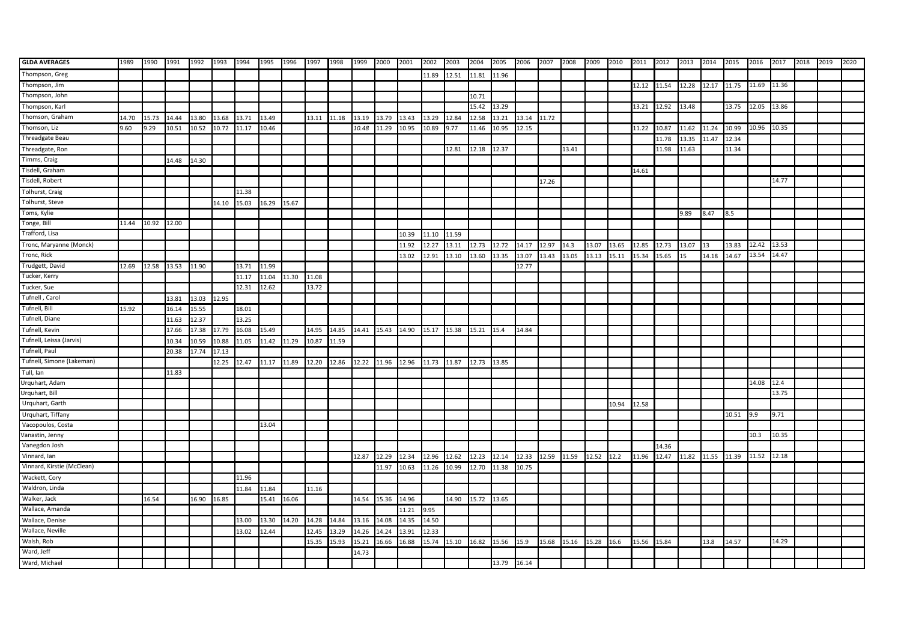| <b>GLDA AVERAGES</b>       | 1989  | 1990  | 1991  | 1992  | 1993  | 1994  | 1995  | 1996  | 1997  | 1998  | 1999        | 2000  | 2001  | 2002  | 2003  | 2004  | 2005  | 2006  | 2007        | 2008                   | 2009       | 2010  | 2011  | 2012  | 2013              | 2014  | 2015  | 2016  | 2017  | 2018 | 2019 | 2020 |
|----------------------------|-------|-------|-------|-------|-------|-------|-------|-------|-------|-------|-------------|-------|-------|-------|-------|-------|-------|-------|-------------|------------------------|------------|-------|-------|-------|-------------------|-------|-------|-------|-------|------|------|------|
| Thompson, Greg             |       |       |       |       |       |       |       |       |       |       |             |       |       | 11.89 | 12.51 | 11.81 | 11.96 |       |             |                        |            |       |       |       |                   |       |       |       |       |      |      |      |
| Thompson, Jim              |       |       |       |       |       |       |       |       |       |       |             |       |       |       |       |       |       |       |             |                        |            |       | 12.12 | 11.54 | 12.28 12.17 11.75 |       |       | 11.69 | 11.36 |      |      |      |
| Thompson, John             |       |       |       |       |       |       |       |       |       |       |             |       |       |       |       | 10.71 |       |       |             |                        |            |       |       |       |                   |       |       |       |       |      |      |      |
| Thompson, Karl             |       |       |       |       |       |       |       |       |       |       |             |       |       |       |       | 15.42 | 13.29 |       |             |                        |            |       | 13.21 | 12.92 | 13.48             |       | 13.75 | 12.05 | 13.86 |      |      |      |
| Thomson, Graham            | 14.70 | 15.73 | 14.44 | 13.80 | 13.68 | 13.71 | 13.49 |       | 13.11 | 11.18 | 13.19       | 13.79 | 13.43 | 13.29 | 12.84 | 12.58 | 13.21 | 13.14 | 11.72       |                        |            |       |       |       |                   |       |       |       |       |      |      |      |
| Thomson, Liz               | 9.60  | 9.29  | 10.51 | 10.52 | 10.72 | 11.17 | 10.46 |       |       |       | 10.48       | 11.29 | 10.95 | 10.89 | 9.77  | 11.46 | 10.95 | 12.15 |             |                        |            |       | 11.22 | 10.87 | 11.62             | 11.24 | 10.99 | 10.96 | 10.35 |      |      |      |
| <b>Threadgate Beau</b>     |       |       |       |       |       |       |       |       |       |       |             |       |       |       |       |       |       |       |             |                        |            |       |       | 11.78 | 13.35             | 11.47 | 12.34 |       |       |      |      |      |
| Threadgate, Ron            |       |       |       |       |       |       |       |       |       |       |             |       |       |       | 12.81 | 12.18 | 12.37 |       |             | 13.41                  |            |       |       | 11.98 | 11.63             |       | 11.34 |       |       |      |      |      |
| Timms, Craig               |       |       | 14.48 | 14.30 |       |       |       |       |       |       |             |       |       |       |       |       |       |       |             |                        |            |       |       |       |                   |       |       |       |       |      |      |      |
| Tisdell, Graham            |       |       |       |       |       |       |       |       |       |       |             |       |       |       |       |       |       |       |             |                        |            |       | 14.61 |       |                   |       |       |       |       |      |      |      |
| Tisdell, Robert            |       |       |       |       |       |       |       |       |       |       |             |       |       |       |       |       |       |       | 17.26       |                        |            |       |       |       |                   |       |       |       | 14.77 |      |      |      |
| Tolhurst, Craig            |       |       |       |       |       | 11.38 |       |       |       |       |             |       |       |       |       |       |       |       |             |                        |            |       |       |       |                   |       |       |       |       |      |      |      |
| Tolhurst, Steve            |       |       |       |       | 14.10 | 15.03 | 16.29 | 15.67 |       |       |             |       |       |       |       |       |       |       |             |                        |            |       |       |       |                   |       |       |       |       |      |      |      |
| Toms, Kylie                |       |       |       |       |       |       |       |       |       |       |             |       |       |       |       |       |       |       |             |                        |            |       |       |       | 9.89              | 8.47  | 8.5   |       |       |      |      |      |
| Tonge, Bill                | 11.44 | 10.92 | 12.00 |       |       |       |       |       |       |       |             |       |       |       |       |       |       |       |             |                        |            |       |       |       |                   |       |       |       |       |      |      |      |
| Trafford, Lisa             |       |       |       |       |       |       |       |       |       |       |             |       | 10.39 | 11.10 | 11.59 |       |       |       |             |                        |            |       |       |       |                   |       |       |       |       |      |      |      |
| Tronc, Maryanne (Monck)    |       |       |       |       |       |       |       |       |       |       |             |       | 11.92 | 12.27 | 13.11 | 12.73 | 12.72 | 14.17 | 12.97       | 14.3                   | 13.07      | 13.65 | 12.85 | 12.73 | 13.07             | 13    | 13.83 | 12.42 | 13.53 |      |      |      |
| Tronc, Rick                |       |       |       |       |       |       |       |       |       |       |             |       | 13.02 | 12.91 | 13.10 | 13.60 | 13.35 | 13.07 | 13.43       | 13.05                  | 13.13      | 15.11 | 15.34 | 15.65 | 15                | 14.18 | 14.67 | 13.54 | 14.47 |      |      |      |
| Trudgett, David            | 12.69 | 12.58 | 13.53 | 11.90 |       | 13.71 | 11.99 |       |       |       |             |       |       |       |       |       |       | 12.77 |             |                        |            |       |       |       |                   |       |       |       |       |      |      |      |
| Tucker, Kerry              |       |       |       |       |       | 11.17 | 11.04 | 11.30 | 11.08 |       |             |       |       |       |       |       |       |       |             |                        |            |       |       |       |                   |       |       |       |       |      |      |      |
| Tucker, Sue                |       |       |       |       |       | 12.31 | 12.62 |       | 13.72 |       |             |       |       |       |       |       |       |       |             |                        |            |       |       |       |                   |       |       |       |       |      |      |      |
| Tufnell, Carol             |       |       | 13.81 | 13.03 | 12.95 |       |       |       |       |       |             |       |       |       |       |       |       |       |             |                        |            |       |       |       |                   |       |       |       |       |      |      |      |
| Tufnell, Bill              | 15.92 |       | 16.14 | 15.55 |       | 18.01 |       |       |       |       |             |       |       |       |       |       |       |       |             |                        |            |       |       |       |                   |       |       |       |       |      |      |      |
| Tufnell, Diane             |       |       | 11.63 | 12.37 |       | 13.25 |       |       |       |       |             |       |       |       |       |       |       |       |             |                        |            |       |       |       |                   |       |       |       |       |      |      |      |
| Tufnell, Kevin             |       |       | 17.66 | 17.38 | 17.79 | 16.08 | 15.49 |       | 14.95 | 14.85 | 14.41 15.43 |       | 14.90 | 15.17 | 15.38 | 15.21 | 15.4  | 14.84 |             |                        |            |       |       |       |                   |       |       |       |       |      |      |      |
| Tufnell, Leissa (Jarvis)   |       |       | 10.34 | 10.59 | 10.88 | 11.05 | 11.42 | 11.29 | 10.87 | 11.59 |             |       |       |       |       |       |       |       |             |                        |            |       |       |       |                   |       |       |       |       |      |      |      |
| Tufnell, Paul              |       |       | 20.38 | 17.74 | 17.13 |       |       |       |       |       |             |       |       |       |       |       |       |       |             |                        |            |       |       |       |                   |       |       |       |       |      |      |      |
| Tufnell, Simone (Lakeman)  |       |       |       |       | 12.25 | 12.47 | 11.17 | 11.89 | 12.20 | 12.86 | 12.22       | 11.96 | 12.96 | 11.73 | 11.87 | 12.73 | 13.85 |       |             |                        |            |       |       |       |                   |       |       |       |       |      |      |      |
| Tull, lan                  |       |       | 11.83 |       |       |       |       |       |       |       |             |       |       |       |       |       |       |       |             |                        |            |       |       |       |                   |       |       |       |       |      |      |      |
| Urquhart, Adam             |       |       |       |       |       |       |       |       |       |       |             |       |       |       |       |       |       |       |             |                        |            |       |       |       |                   |       |       | 14.08 | 12.4  |      |      |      |
| Urquhart, Bill             |       |       |       |       |       |       |       |       |       |       |             |       |       |       |       |       |       |       |             |                        |            |       |       |       |                   |       |       |       | 13.75 |      |      |      |
| Urquhart, Garth            |       |       |       |       |       |       |       |       |       |       |             |       |       |       |       |       |       |       |             |                        |            | 10.94 | 12.58 |       |                   |       |       |       |       |      |      |      |
| Urquhart, Tiffany          |       |       |       |       |       |       |       |       |       |       |             |       |       |       |       |       |       |       |             |                        |            |       |       |       |                   |       | 10.51 | 9.9   | 9.71  |      |      |      |
| Vacopoulos, Costa          |       |       |       |       |       |       | 13.04 |       |       |       |             |       |       |       |       |       |       |       |             |                        |            |       |       |       |                   |       |       |       |       |      |      |      |
| Vanastin, Jenny            |       |       |       |       |       |       |       |       |       |       |             |       |       |       |       |       |       |       |             |                        |            |       |       |       |                   |       |       | 10.3  | 10.35 |      |      |      |
| Vanegdon Josh              |       |       |       |       |       |       |       |       |       |       |             |       |       |       |       |       |       |       |             |                        |            |       |       | 14.36 |                   |       |       |       |       |      |      |      |
| Vinnard, Ian               |       |       |       |       |       |       |       |       |       |       | 12.87       | 12.29 | 12.34 | 12.96 | 12.62 | 12.23 | 12.14 | 12.33 | 12.59 11.59 |                        | 12.52 12.2 |       | 11.96 | 12.47 | 11.82 11.55       |       | 11.39 | 11.52 | 12.18 |      |      |      |
| Vinnard, Kirstie (McClean) |       |       |       |       |       |       |       |       |       |       |             | 11.97 | 10.63 | 11.26 | 10.99 | 12.70 | 11.38 | 10.75 |             |                        |            |       |       |       |                   |       |       |       |       |      |      |      |
| Wackett, Cory              |       |       |       |       |       | 11.96 |       |       |       |       |             |       |       |       |       |       |       |       |             |                        |            |       |       |       |                   |       |       |       |       |      |      |      |
| Waldron, Linda             |       |       |       |       |       | 11.84 | 11.84 |       | 11.16 |       |             |       |       |       |       |       |       |       |             |                        |            |       |       |       |                   |       |       |       |       |      |      |      |
| Walker, Jack               |       | 16.54 |       | 16.90 | 16.85 |       | 15.41 | 16.06 |       |       | 14.54       | 15.36 | 14.96 |       | 14.90 | 15.72 | 13.65 |       |             |                        |            |       |       |       |                   |       |       |       |       |      |      |      |
| Wallace, Amanda            |       |       |       |       |       |       |       |       |       |       |             |       | 11.21 | 9.95  |       |       |       |       |             |                        |            |       |       |       |                   |       |       |       |       |      |      |      |
| Wallace, Denise            |       |       |       |       |       | 13.00 | 13.30 | 14.20 | 14.28 | 14.84 | 13.16       | 14.08 | 14.35 | 14.50 |       |       |       |       |             |                        |            |       |       |       |                   |       |       |       |       |      |      |      |
| Wallace, Neville           |       |       |       |       |       | 13.02 | 2.44  |       | 12.45 | 13.29 | 4.26        | 14.24 | 13.91 | 12.33 |       |       |       |       |             |                        |            |       |       |       |                   |       |       |       |       |      |      |      |
| Walsh, Rob                 |       |       |       |       |       |       |       |       | 15.35 | 15.93 | 15.21       | 16.66 | 16.88 | 15.74 | 15.10 | 16.82 | 15.56 | 15.9  |             | 15.68 15.16 15.28 16.6 |            |       | 15.56 | 15.84 |                   | 13.8  | 14.57 |       | 14.29 |      |      |      |
| Ward, Jeff                 |       |       |       |       |       |       |       |       |       |       | 14.73       |       |       |       |       |       |       |       |             |                        |            |       |       |       |                   |       |       |       |       |      |      |      |
| Ward, Michael              |       |       |       |       |       |       |       |       |       |       |             |       |       |       |       |       | 13.79 | 16.14 |             |                        |            |       |       |       |                   |       |       |       |       |      |      |      |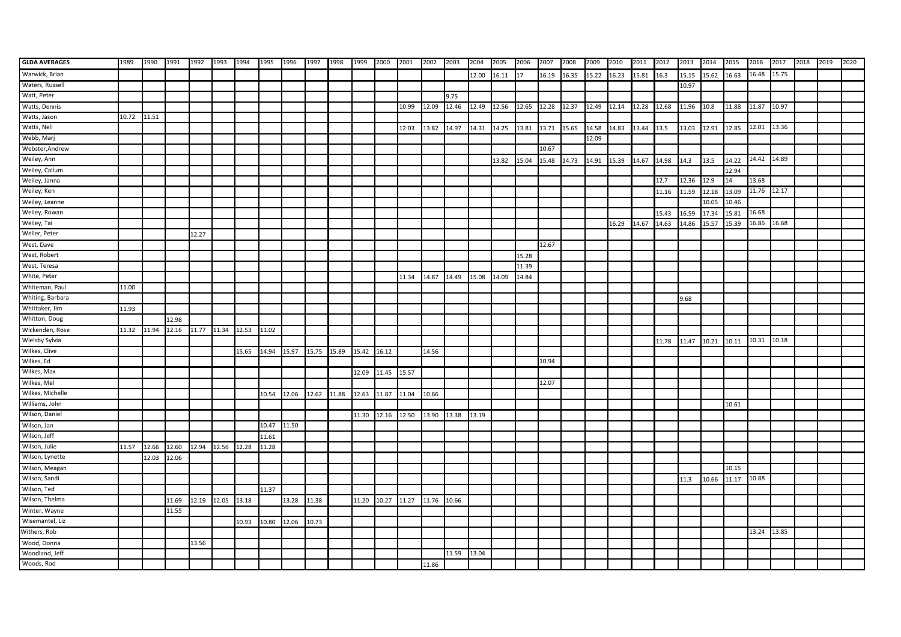| <b>GLDA AVERAGES</b> | 1989  | 1990  | 1991                    | 1992  | 1993              | 1994  | 1995  | 1996  | 1997        | 1998  | 1999  | 2000  | 2001  | 2002  | 2003  | 2004  | 2005  | 2006  | 2007  | 2008  | 2009        | 2010  | 2011  | 2012  | 2013       | 2014        | 2015  | 2016        | 2017  | 2018 | 2019 | 2020 |
|----------------------|-------|-------|-------------------------|-------|-------------------|-------|-------|-------|-------------|-------|-------|-------|-------|-------|-------|-------|-------|-------|-------|-------|-------------|-------|-------|-------|------------|-------------|-------|-------------|-------|------|------|------|
| Warwick, Brian       |       |       |                         |       |                   |       |       |       |             |       |       |       |       |       |       | 12.00 | 16.11 | 117   | 16.19 | 16.35 | 15.22 16.23 |       | 15.81 | 16.3  | 15.15      | 15.62 16.63 |       | 16.48       | 15.75 |      |      |      |
| Waters, Russell      |       |       |                         |       |                   |       |       |       |             |       |       |       |       |       |       |       |       |       |       |       |             |       |       |       | 10.97      |             |       |             |       |      |      |      |
| Watt, Peter          |       |       |                         |       |                   |       |       |       |             |       |       |       |       |       | 9.75  |       |       |       |       |       |             |       |       |       |            |             |       |             |       |      |      |      |
| Watts, Dennis        |       |       |                         |       |                   |       |       |       |             |       |       |       | 10.99 | 12.09 | 12.46 | 12.49 | 12.56 | 12.65 | 12.28 | 12.37 | 12.49       | 12.14 | 12.28 | 12.68 | 11.96 10.8 |             | 11.88 | 11.87       | 10.97 |      |      |      |
| Watts, Jason         | 10.72 | 11.51 |                         |       |                   |       |       |       |             |       |       |       |       |       |       |       |       |       |       |       |             |       |       |       |            |             |       |             |       |      |      |      |
| Watts, Nell          |       |       |                         |       |                   |       |       |       |             |       |       |       | 12.03 | 13.82 | 14.97 | 14.31 | 14.25 | 13.81 | 13.71 | 15.65 | 14.58       | 14.83 | 13.44 | 13.5  | 13.03      | 12.91       | 12.85 | 12.01       | 13.36 |      |      |      |
| Webb, Marj           |       |       |                         |       |                   |       |       |       |             |       |       |       |       |       |       |       |       |       |       |       | 12.09       |       |       |       |            |             |       |             |       |      |      |      |
| Webster, Andrew      |       |       |                         |       |                   |       |       |       |             |       |       |       |       |       |       |       |       |       | 10.67 |       |             |       |       |       |            |             |       |             |       |      |      |      |
| Weiley, Ann          |       |       |                         |       |                   |       |       |       |             |       |       |       |       |       |       |       | 13.82 | 15.04 | 15.48 | 14.73 | 14.91       | 15.39 | 14.67 | 14.98 | 14.3       | 13.5        | 14.22 | 14.42       | 14.89 |      |      |      |
| Weiley, Callum       |       |       |                         |       |                   |       |       |       |             |       |       |       |       |       |       |       |       |       |       |       |             |       |       |       |            |             | 12.94 |             |       |      |      |      |
| Weiley, Janna        |       |       |                         |       |                   |       |       |       |             |       |       |       |       |       |       |       |       |       |       |       |             |       |       | 12.7  | 12.36      | 12.9        | 14    | 13.68       |       |      |      |      |
| Weiley, Ken          |       |       |                         |       |                   |       |       |       |             |       |       |       |       |       |       |       |       |       |       |       |             |       |       | 11.16 | 11.59      | 12.18       | 13.09 | 11.76 12.17 |       |      |      |      |
| Weiley, Leanne       |       |       |                         |       |                   |       |       |       |             |       |       |       |       |       |       |       |       |       |       |       |             |       |       |       |            | 10.05       | 10.46 |             |       |      |      |      |
| Weiley, Rowan        |       |       |                         |       |                   |       |       |       |             |       |       |       |       |       |       |       |       |       |       |       |             |       |       | 15.43 | 6.59       | 17.34       | 15.81 | 16.68       |       |      |      |      |
| Weiley, Tai          |       |       |                         |       |                   |       |       |       |             |       |       |       |       |       |       |       |       |       |       |       |             | 16.29 | 14.67 | 14.63 | 14.86      | 15.57       | 15.39 | 16.86       | 16.68 |      |      |      |
| Weller, Peter        |       |       |                         | 12.27 |                   |       |       |       |             |       |       |       |       |       |       |       |       |       |       |       |             |       |       |       |            |             |       |             |       |      |      |      |
| West, Dave           |       |       |                         |       |                   |       |       |       |             |       |       |       |       |       |       |       |       |       | 12.67 |       |             |       |       |       |            |             |       |             |       |      |      |      |
| West, Robert         |       |       |                         |       |                   |       |       |       |             |       |       |       |       |       |       |       |       | 15.28 |       |       |             |       |       |       |            |             |       |             |       |      |      |      |
| West, Teresa         |       |       |                         |       |                   |       |       |       |             |       |       |       |       |       |       |       |       | 11.39 |       |       |             |       |       |       |            |             |       |             |       |      |      |      |
| White, Peter         |       |       |                         |       |                   |       |       |       |             |       |       |       | 11.34 | 14.87 | 14.49 | 15.08 | 14.09 | 14.84 |       |       |             |       |       |       |            |             |       |             |       |      |      |      |
| Whiteman, Paul       | 11.00 |       |                         |       |                   |       |       |       |             |       |       |       |       |       |       |       |       |       |       |       |             |       |       |       |            |             |       |             |       |      |      |      |
| Whiting, Barbara     |       |       |                         |       |                   |       |       |       |             |       |       |       |       |       |       |       |       |       |       |       |             |       |       |       | 9.68       |             |       |             |       |      |      |      |
| Whittaker, Jim       | 11.93 |       |                         |       |                   |       |       |       |             |       |       |       |       |       |       |       |       |       |       |       |             |       |       |       |            |             |       |             |       |      |      |      |
| Whitton, Doug        |       |       | 12.98                   |       |                   |       |       |       |             |       |       |       |       |       |       |       |       |       |       |       |             |       |       |       |            |             |       |             |       |      |      |      |
| Wickenden, Rose      | 11.32 | 11.94 | 12.16 11.77 11.34 12.53 |       |                   |       | 11.02 |       |             |       |       |       |       |       |       |       |       |       |       |       |             |       |       |       |            |             |       |             |       |      |      |      |
| Wielsby Sylvia       |       |       |                         |       |                   |       |       |       |             |       |       |       |       |       |       |       |       |       |       |       |             |       |       | 11.78 | 11.47      | 10.21       | 10.11 | 10.31       | 10.18 |      |      |      |
| Wilkes, Clive        |       |       |                         |       |                   | 15.65 | 14.94 | 15.97 | 15.75 15.89 |       | 15.42 | 16.12 |       | 14.56 |       |       |       |       |       |       |             |       |       |       |            |             |       |             |       |      |      |      |
| Wilkes, Ed           |       |       |                         |       |                   |       |       |       |             |       |       |       |       |       |       |       |       |       | 10.94 |       |             |       |       |       |            |             |       |             |       |      |      |      |
| Wilkes, Max          |       |       |                         |       |                   |       |       |       |             |       | 12.09 | 11.45 | 15.57 |       |       |       |       |       |       |       |             |       |       |       |            |             |       |             |       |      |      |      |
| Wilkes, Mel          |       |       |                         |       |                   |       |       |       |             |       |       |       |       |       |       |       |       |       | 12.07 |       |             |       |       |       |            |             |       |             |       |      |      |      |
| Wilkes, Michelle     |       |       |                         |       |                   |       | 10.54 | 12.06 | 12.62       | 11.88 | 12.63 | 11.87 | 11.04 | 10.66 |       |       |       |       |       |       |             |       |       |       |            |             |       |             |       |      |      |      |
| Williams, John       |       |       |                         |       |                   |       |       |       |             |       |       |       |       |       |       |       |       |       |       |       |             |       |       |       |            |             | 10.61 |             |       |      |      |      |
| Wilson, Daniel       |       |       |                         |       |                   |       |       |       |             |       | 11.30 | 12.16 | 12.50 | 13.90 | 13.38 | 13.19 |       |       |       |       |             |       |       |       |            |             |       |             |       |      |      |      |
| Wilson, Jan          |       |       |                         |       |                   |       | 10.47 | 11.50 |             |       |       |       |       |       |       |       |       |       |       |       |             |       |       |       |            |             |       |             |       |      |      |      |
| Wilson, Jeff         |       |       |                         |       |                   |       | 11.61 |       |             |       |       |       |       |       |       |       |       |       |       |       |             |       |       |       |            |             |       |             |       |      |      |      |
| Wilson, Julie        | 11.57 | 12.66 | 12.60                   |       | 12.94 12.56 12.28 |       | 11.28 |       |             |       |       |       |       |       |       |       |       |       |       |       |             |       |       |       |            |             |       |             |       |      |      |      |
| Wilson, Lynette      |       | 12.03 | 12.06                   |       |                   |       |       |       |             |       |       |       |       |       |       |       |       |       |       |       |             |       |       |       |            |             |       |             |       |      |      |      |
| Wilson, Meagan       |       |       |                         |       |                   |       |       |       |             |       |       |       |       |       |       |       |       |       |       |       |             |       |       |       |            |             | 10.15 |             |       |      |      |      |
| Wilson, Sandi        |       |       |                         |       |                   |       |       |       |             |       |       |       |       |       |       |       |       |       |       |       |             |       |       |       | 11.3       | 10.66       | 11.17 | 10.88       |       |      |      |      |
| Wilson, Ted          |       |       |                         |       |                   |       | 11.37 |       |             |       |       |       |       |       |       |       |       |       |       |       |             |       |       |       |            |             |       |             |       |      |      |      |
| Wilson, Thelma       |       |       | 11.69                   |       | 12.19 12.05 13.18 |       |       | 13.28 | 11.38       |       | 11.20 | 10.27 | 11.27 | 11.76 | 10.66 |       |       |       |       |       |             |       |       |       |            |             |       |             |       |      |      |      |
| Winter, Wayne        |       |       | 11.55                   |       |                   |       |       |       |             |       |       |       |       |       |       |       |       |       |       |       |             |       |       |       |            |             |       |             |       |      |      |      |
| Wisemantel, Liz      |       |       |                         |       |                   | 10.93 | 10.80 | 12.06 | 10.73       |       |       |       |       |       |       |       |       |       |       |       |             |       |       |       |            |             |       |             |       |      |      |      |
| Withers, Rob         |       |       |                         |       |                   |       |       |       |             |       |       |       |       |       |       |       |       |       |       |       |             |       |       |       |            |             |       | 13.24       | 13.85 |      |      |      |
| Wood, Donna          |       |       |                         | 13.56 |                   |       |       |       |             |       |       |       |       |       |       |       |       |       |       |       |             |       |       |       |            |             |       |             |       |      |      |      |
| Woodland, Jeff       |       |       |                         |       |                   |       |       |       |             |       |       |       |       |       | 11.59 | 13.04 |       |       |       |       |             |       |       |       |            |             |       |             |       |      |      |      |
| Woods, Rod           |       |       |                         |       |                   |       |       |       |             |       |       |       |       | 11.86 |       |       |       |       |       |       |             |       |       |       |            |             |       |             |       |      |      |      |
|                      |       |       |                         |       |                   |       |       |       |             |       |       |       |       |       |       |       |       |       |       |       |             |       |       |       |            |             |       |             |       |      |      |      |